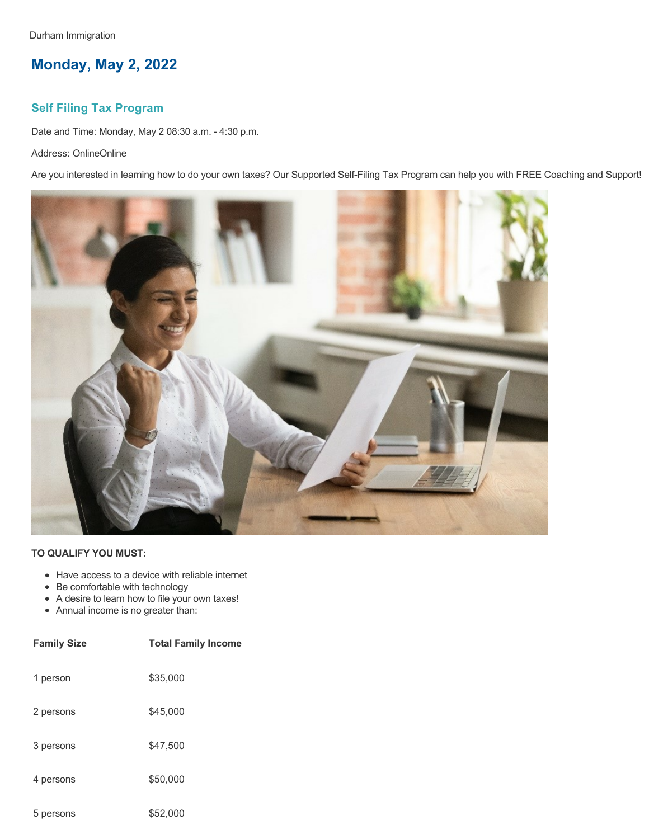# **Monday, May 2, 2022**

## **Self Filing Tax Program**

Date and Time: Monday, May 2 08:30 a.m. - 4:30 p.m.

Address: OnlineOnline

Are you interested in learning how to do your own taxes? Our Supported Self-Filing Tax Program can help you with FREE Coaching and Support!



- Have access to a device with reliable internet
- Be comfortable with technology
- A desire to learn how to file your own taxes!
- Annual income is no greater than:

| <b>Family Size</b> | <b>Total Family Income</b> |
|--------------------|----------------------------|
| 1 person           | \$35,000                   |
| 2 persons          | \$45,000                   |
| 3 persons          | \$47,500                   |
| 4 persons          | \$50,000                   |
| 5 persons          | \$52,000                   |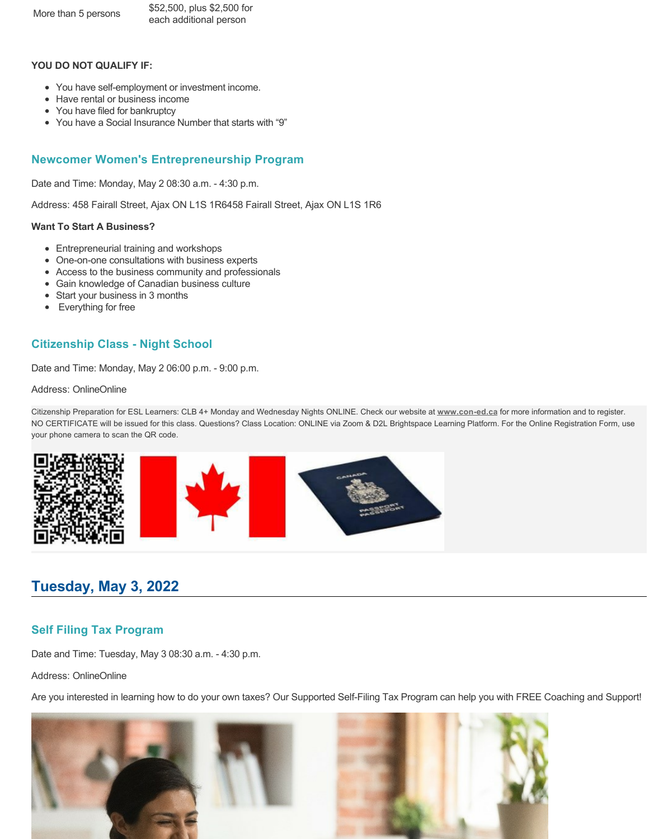More than 5 persons \$52,500, plus \$2,500 for each additional person

### **YOU DO NOT QUALIFY IF:**

- You have self-employment or investment income.
- Have rental or business income
- You have filed for bankruptcy
- You have a Social Insurance Number that starts with "9"

## **Newcomer Women's Entrepreneurship Program**

Date and Time: Monday, May 2 08:30 a.m. - 4:30 p.m.

Address: 458 Fairall Street, Ajax ON L1S 1R6458 Fairall Street, Ajax ON L1S 1R6

### **Want To Start A Business?**

- Entrepreneurial training and workshops
- One-on-one consultations with business experts
- Access to the business community and professionals
- Gain knowledge of Canadian business culture
- Start your business in 3 months
- Everything for free

## **Citizenship Class - Night School**

Date and Time: Monday, May 2 06:00 p.m. - 9:00 p.m.

#### Address: OnlineOnline

Citizenship Preparation for ESL Learners: CLB 4+ Monday and Wednesday Nights ONLINE. Check our website at **[www.con-ed.ca](https://www.con-ed.ca/en/index.aspx)** for more information and to register. NO CERTIFICATE will be issued for this class. Questions? Class Location: ONLINE via Zoom & D2L Brightspace Learning Platform. For the Online Registration Form, use your phone camera to scan the QR code.



# **Tuesday, May 3, 2022**

## **Self Filing Tax Program**

Date and Time: Tuesday, May 3 08:30 a.m. - 4:30 p.m.

Address: OnlineOnline

Are you interested in learning how to do your own taxes? Our Supported Self-Filing Tax Program can help you with FREE Coaching and Support!

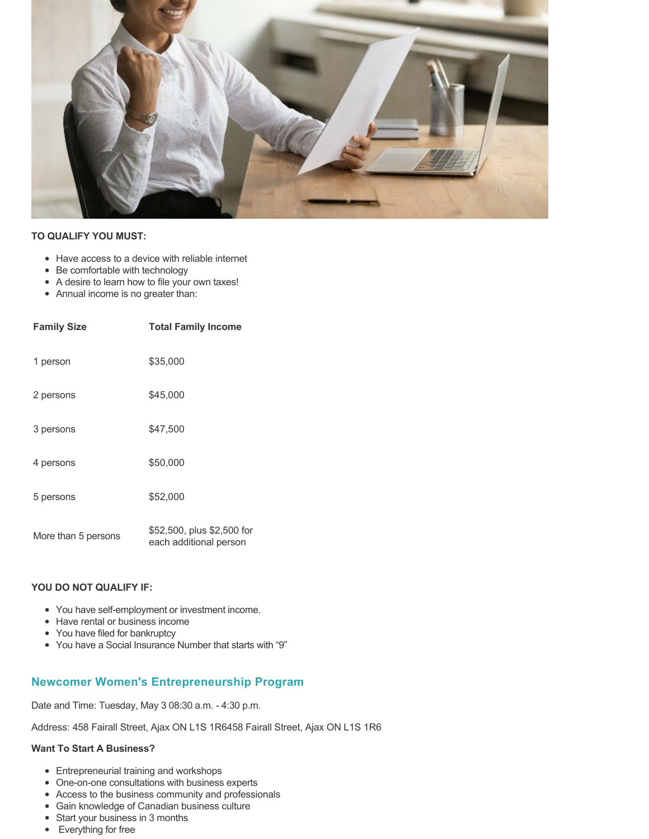

### **TO QUALIFY YOU MUST:**

- Have access to a device with reliable internet
- Be comfortable with technology
- A desire to learn how to file your own taxes!
- Annual income is no greater than:

| <b>Family Size</b>  | <b>Total Family Income</b>                           |
|---------------------|------------------------------------------------------|
| 1 person            | \$35,000                                             |
| 2 persons           | \$45,000                                             |
| 3 persons           | \$47,500                                             |
| 4 persons           | \$50,000                                             |
| 5 persons           | \$52,000                                             |
| More than 5 persons | \$52,500, plus \$2,500 for<br>each additional person |

### **YOU DO NOT QUALIFY IF:**

- You have self-employment or investment income.
- Have rental or business income
- You have filed for bankruptcy
- You have a Social Insurance Number that starts with "9"

## **Newcomer Women's Entrepreneurship Program**

Date and Time: Tuesday, May 3 08:30 a.m. - 4:30 p.m.

Address: 458 Fairall Street, Ajax ON L1S 1R6458 Fairall Street, Ajax ON L1S 1R6

### **Want To Start A Business?**

- Entrepreneurial training and workshops
- One-on-one consultations with business experts
- Access to the business community and professionals
- Gain knowledge of Canadian business culture
- Start your business in 3 months
- Everything for free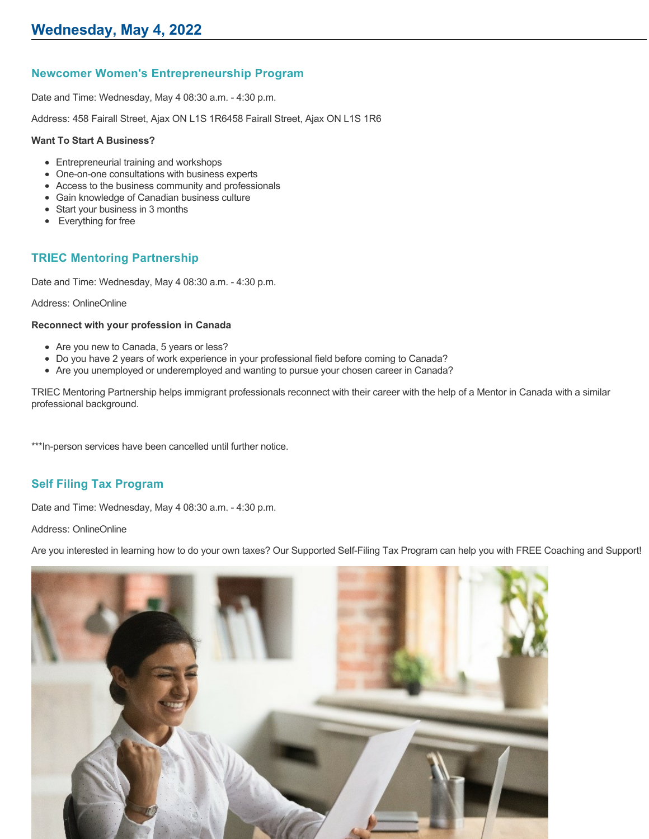## **Newcomer Women's Entrepreneurship Program**

Date and Time: Wednesday, May 4 08:30 a.m. - 4:30 p.m.

Address: 458 Fairall Street, Ajax ON L1S 1R6458 Fairall Street, Ajax ON L1S 1R6

### **Want To Start A Business?**

- Entrepreneurial training and workshops
- One-on-one consultations with business experts
- Access to the business community and professionals
- Gain knowledge of Canadian business culture
- Start your business in 3 months
- Everything for free

## **TRIEC Mentoring Partnership**

Date and Time: Wednesday, May 4 08:30 a.m. - 4:30 p.m.

Address: OnlineOnline

### **Reconnect with your profession in Canada**

- Are you new to Canada, 5 years or less?
- Do you have 2 years of work experience in your professional field before coming to Canada?
- Are you unemployed or underemployed and wanting to pursue your chosen career in Canada?

TRIEC Mentoring Partnership helps immigrant professionals reconnect with their career with the help of a Mentor in Canada with a similar professional background.

\*\*\*In-person services have been cancelled until further notice.

## **Self Filing Tax Program**

Date and Time: Wednesday, May 4 08:30 a.m. - 4:30 p.m.

Address: OnlineOnline

Are you interested in learning how to do your own taxes? Our Supported Self-Filing Tax Program can help you with FREE Coaching and Support!

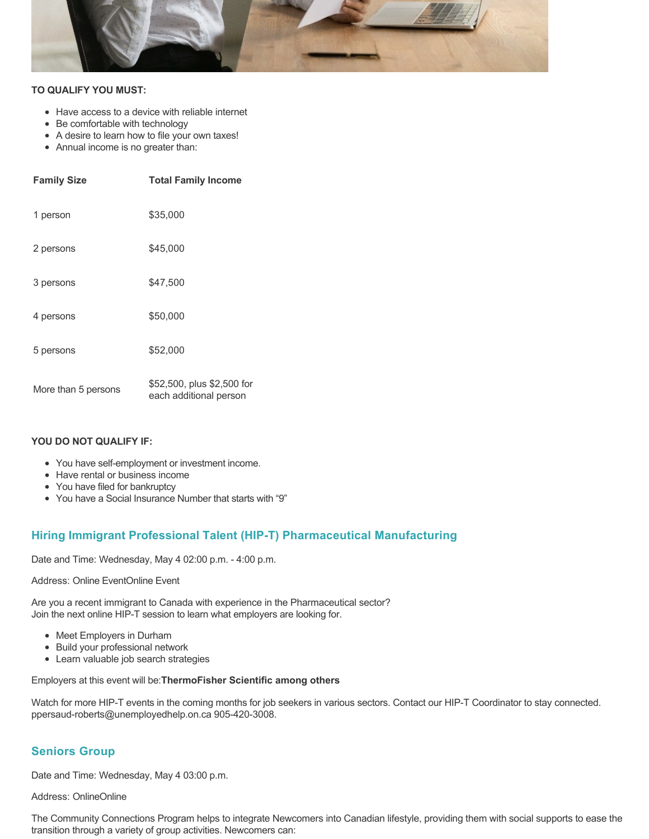

### **TO QUALIFY YOU MUST:**

- Have access to a device with reliable internet
- Be comfortable with technology
- A desire to learn how to file your own taxes!
- Annual income is no greater than:

| <b>Family Size</b>  | <b>Total Family Income</b>                           |
|---------------------|------------------------------------------------------|
| 1 person            | \$35,000                                             |
| 2 persons           | \$45,000                                             |
| 3 persons           | \$47,500                                             |
| 4 persons           | \$50,000                                             |
| 5 persons           | \$52,000                                             |
| More than 5 persons | \$52,500, plus \$2,500 for<br>each additional person |

### **YOU DO NOT QUALIFY IF:**

- You have self-employment or investment income.
- Have rental or business income
- You have filed for bankruptcy
- You have a Social Insurance Number that starts with "9"

## **Hiring Immigrant Professional Talent (HIP-T) Pharmaceutical Manufacturing**

Date and Time: Wednesday, May 4 02:00 p.m. - 4:00 p.m.

### Address: Online EventOnline Event

Are you a recent immigrant to Canada with experience in the Pharmaceutical sector? Join the next online HIP-T session to learn what employers are looking for.

- Meet Employers in Durham
- Build your professional network
- Learn valuable job search strategies

### Employers at this event will be:**ThermoFisher Scientific among others**

Watch for more HIP-T events in the coming months for job seekers in various sectors. Contact our HIP-T Coordinator to stay connected. ppersaud-roberts@unemployedhelp.on.ca 905-420-3008.

## **Seniors Group**

Date and Time: Wednesday, May 4 03:00 p.m.

Address: OnlineOnline

The Community Connections Program helps to integrate Newcomers into Canadian lifestyle, providing them with social supports to ease the transition through a variety of group activities. Newcomers can: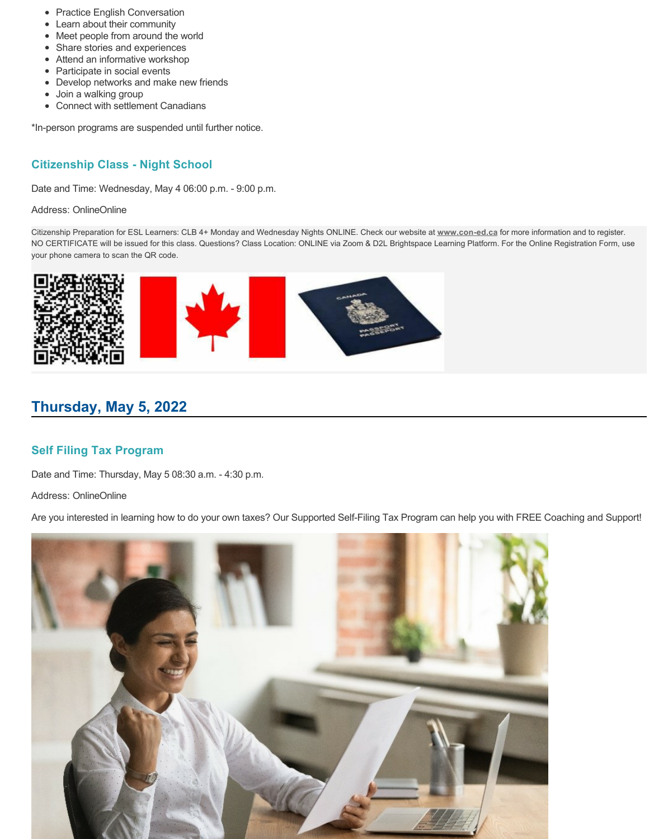- Practice English Conversation
- Learn about their community
- Meet people from around the world
- Share stories and experiences
- Attend an informative workshop
- Participate in social events
- Develop networks and make new friends
- Join a walking group
- Connect with settlement Canadians

\*In-person programs are suspended until further notice.

## **Citizenship Class - Night School**

Date and Time: Wednesday, May 4 06:00 p.m. - 9:00 p.m.

Address: OnlineOnline

Citizenship Preparation for ESL Learners: CLB 4+ Monday and Wednesday Nights ONLINE. Check our website at **[www.con-ed.ca](https://www.con-ed.ca/en/index.aspx)** for more information and to register. NO CERTIFICATE will be issued for this class. Questions? Class Location: ONLINE via Zoom & D2L Brightspace Learning Platform. For the Online Registration Form, use your phone camera to scan the QR code.



# **Thursday, May 5, 2022**

## **Self Filing Tax Program**

Date and Time: Thursday, May 5 08:30 a.m. - 4:30 p.m.

Address: OnlineOnline

Are you interested in learning how to do your own taxes? Our Supported Self-Filing Tax Program can help you with FREE Coaching and Support!

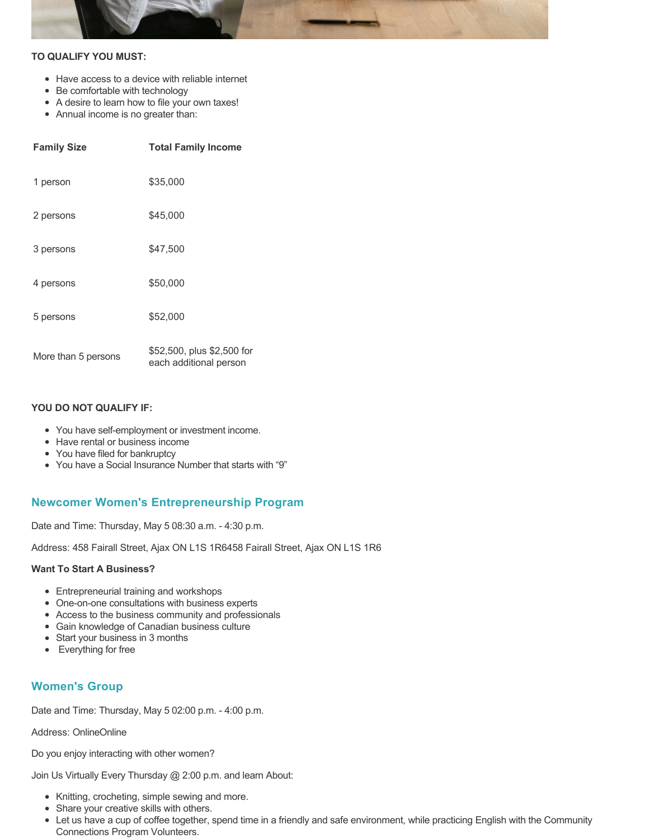

### **TO QUALIFY YOU MUST:**

- Have access to a device with reliable internet
- Be comfortable with technology
- A desire to learn how to file your own taxes!
- Annual income is no greater than:

| <b>Family Size</b>  | <b>Total Family Income</b>                           |
|---------------------|------------------------------------------------------|
| 1 person            | \$35,000                                             |
| 2 persons           | \$45,000                                             |
| 3 persons           | \$47.500                                             |
| 4 persons           | \$50,000                                             |
| 5 persons           | \$52,000                                             |
| More than 5 persons | \$52,500, plus \$2,500 for<br>each additional person |

### **YOU DO NOT QUALIFY IF:**

- You have self-employment or investment income.
- Have rental or business income
- You have filed for bankruptcy
- You have a Social Insurance Number that starts with "9"

## **Newcomer Women's Entrepreneurship Program**

Date and Time: Thursday, May 5 08:30 a.m. - 4:30 p.m.

Address: 458 Fairall Street, Ajax ON L1S 1R6458 Fairall Street, Ajax ON L1S 1R6

#### **Want To Start A Business?**

- Entrepreneurial training and workshops
- One-on-one consultations with business experts
- Access to the business community and professionals
- Gain knowledge of Canadian business culture
- Start your business in 3 months
- Everything for free

## **Women's Group**

Date and Time: Thursday, May 5 02:00 p.m. - 4:00 p.m.

Address: OnlineOnline

Do you enjoy interacting with other women?

Join Us Virtually Every Thursday @ 2:00 p.m. and learn About:

- Knitting, crocheting, simple sewing and more.
- Share your creative skills with others.
- Let us have a cup of coffee together, spend time in a friendly and safe environment, while practicing English with the Community Connections Program Volunteers.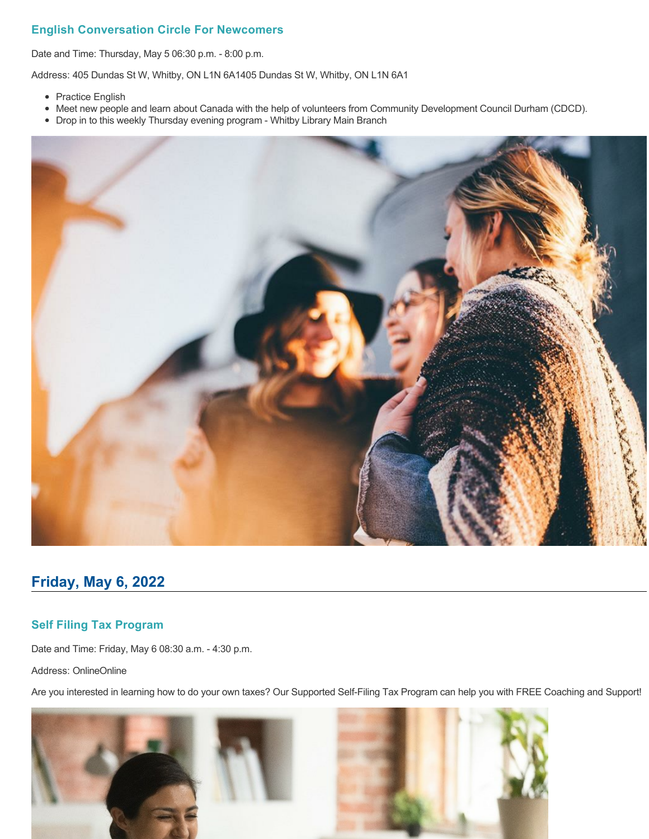## **English Conversation Circle For Newcomers**

Date and Time: Thursday, May 5 06:30 p.m. - 8:00 p.m.

Address: 405 Dundas St W, Whitby, ON L1N 6A1405 Dundas St W, Whitby, ON L1N 6A1

- Practice English
- Meet new people and learn about Canada with the help of volunteers from Community Development Council Durham (CDCD).
- Drop in to this weekly Thursday evening program Whitby Library Main Branch



## **Friday, May 6, 2022**

## **Self Filing Tax Program**

Date and Time: Friday, May 6 08:30 a.m. - 4:30 p.m.

Address: OnlineOnline

Are you interested in learning how to do your own taxes? Our Supported Self-Filing Tax Program can help you with FREE Coaching and Support!

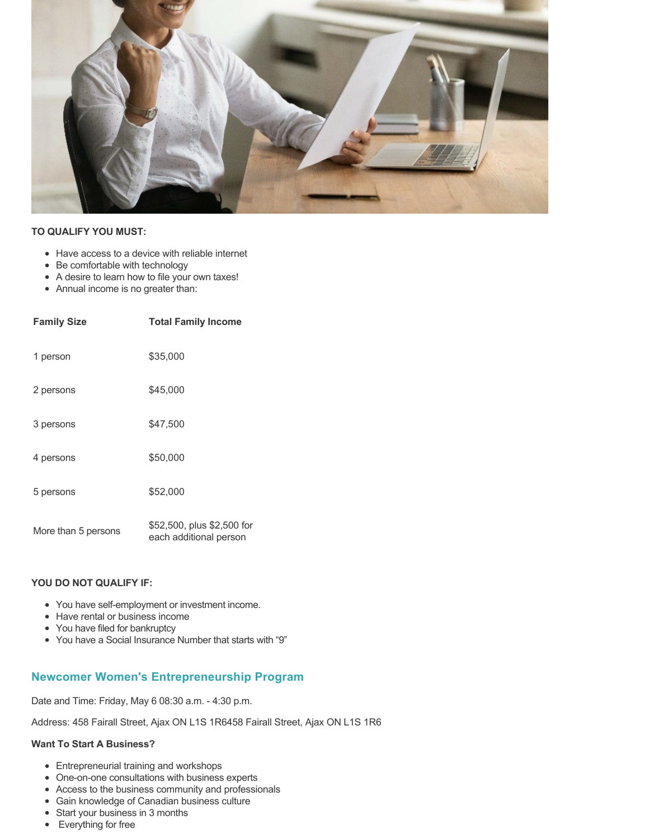

### **TO QUALIFY YOU MUST:**

- Have access to a device with reliable internet
- Be comfortable with technology
- A desire to learn how to file your own taxes!
- Annual income is no greater than:

| <b>Family Size</b>  | <b>Total Family Income</b>                           |
|---------------------|------------------------------------------------------|
| 1 person            | \$35,000                                             |
| 2 persons           | \$45,000                                             |
| 3 persons           | \$47.500                                             |
| 4 persons           | \$50,000                                             |
| 5 persons           | \$52,000                                             |
| More than 5 persons | \$52,500, plus \$2,500 for<br>each additional person |

### **YOU DO NOT QUALIFY IF:**

- You have self-employment or investment income.
- Have rental or business income
- You have filed for bankruptcy
- You have a Social Insurance Number that starts with "9"

## **Newcomer Women's Entrepreneurship Program**

Date and Time: Friday, May 6 08:30 a.m. - 4:30 p.m.

Address: 458 Fairall Street, Ajax ON L1S 1R6458 Fairall Street, Ajax ON L1S 1R6

#### **Want To Start A Business?**

- Entrepreneurial training and workshops
- One-on-one consultations with business experts
- Access to the business community and professionals
- Gain knowledge of Canadian business culture
- Start your business in 3 months
- Everything for free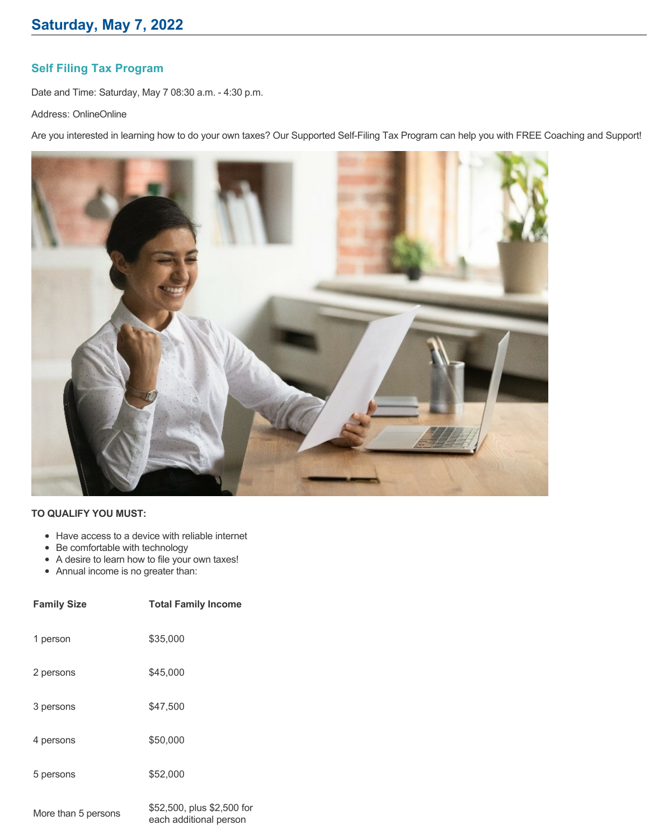## **Self Filing Tax Program**

Date and Time: Saturday, May 7 08:30 a.m. - 4:30 p.m.

Address: OnlineOnline

Are you interested in learning how to do your own taxes? Our Supported Self-Filing Tax Program can help you with FREE Coaching and Support!



## **TO QUALIFY YOU MUST:**

- Have access to a device with reliable internet
- Be comfortable with technology
- A desire to learn how to file your own taxes!
- Annual income is no greater than:

| <b>Family Size</b>  | <b>Total Family Income</b>                                               |
|---------------------|--------------------------------------------------------------------------|
| 1 person            | \$35,000                                                                 |
| 2 persons           | \$45,000                                                                 |
| 3 persons           | \$47,500                                                                 |
| 4 persons           | \$50,000                                                                 |
| 5 persons           | \$52,000                                                                 |
| More than 5 persons | \$52,500, plus \$2,500 for<br>ومراجل والمستحدث فالأطاء المستحدث والمستحد |

each additional person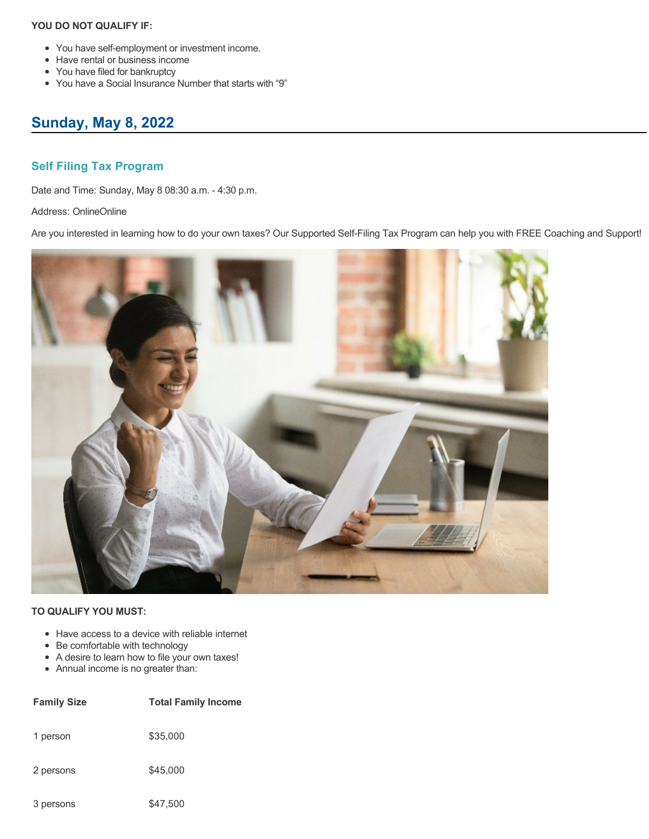- You have self-employment or investment income.
- Have rental or business income
- You have filed for bankruptcy
- You have a Social Insurance Number that starts with "9"

# **Sunday, May 8, 2022**

## **Self Filing Tax Program**

Date and Time: Sunday, May 8 08:30 a.m. - 4:30 p.m.

Address: OnlineOnline

Are you interested in learning how to do your own taxes? Our Supported Self-Filing Tax Program can help you with FREE Coaching and Support!



- Have access to a device with reliable internet
- Be comfortable with technology
- A desire to learn how to file your own taxes!
- Annual income is no greater than:

| <b>Family Size</b> | <b>Total Family Income</b> |
|--------------------|----------------------------|
| 1 person           | \$35,000                   |
| 2 persons          | \$45,000                   |
| 3 persons          | \$47,500                   |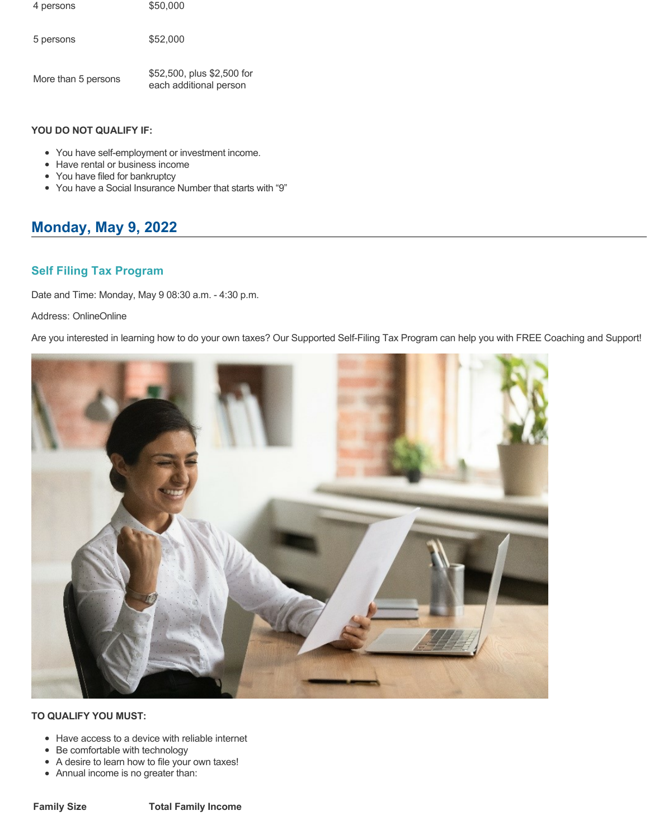| 4 persons           | \$50,000                                             |
|---------------------|------------------------------------------------------|
| 5 persons           | \$52,000                                             |
| More than 5 persons | \$52,500, plus \$2,500 for<br>each additional person |

- You have self-employment or investment income.
- Have rental or business income
- You have filed for bankruptcy
- You have a Social Insurance Number that starts with "9"

# **Monday, May 9, 2022**

## **Self Filing Tax Program**

Date and Time: Monday, May 9 08:30 a.m. - 4:30 p.m.

### Address: OnlineOnline

Are you interested in learning how to do your own taxes? Our Supported Self-Filing Tax Program can help you with FREE Coaching and Support!



- Have access to a device with reliable internet
- Be comfortable with technology
- A desire to learn how to file your own taxes!
- Annual income is no greater than: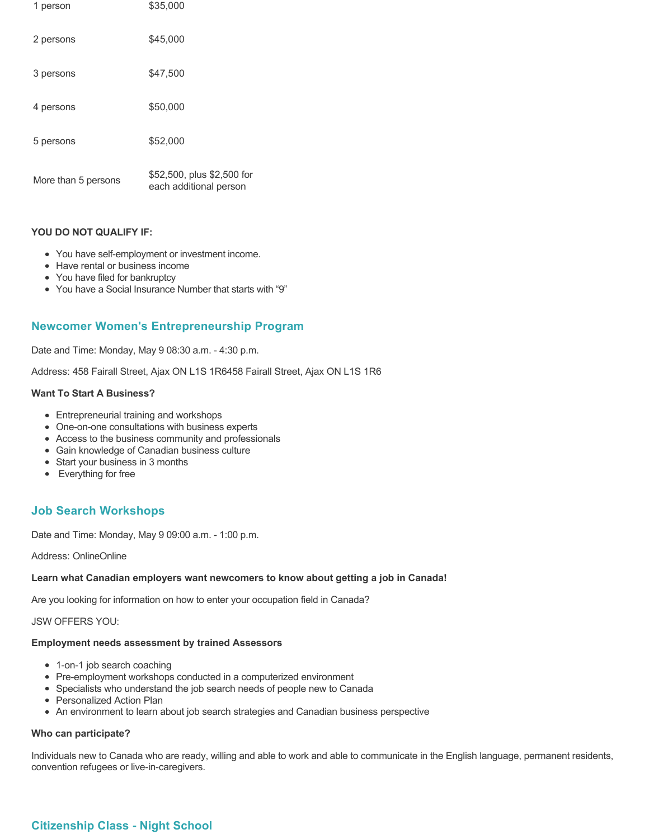| 1 person            | \$35,000                                             |
|---------------------|------------------------------------------------------|
| 2 persons           | \$45,000                                             |
| 3 persons           | \$47,500                                             |
| 4 persons           | \$50,000                                             |
| 5 persons           | \$52,000                                             |
| More than 5 persons | \$52,500, plus \$2,500 for<br>each additional person |

- You have self-employment or investment income.
- Have rental or business income
- You have filed for bankruptcy
- You have a Social Insurance Number that starts with "9"

## **Newcomer Women's Entrepreneurship Program**

Date and Time: Monday, May 9 08:30 a.m. - 4:30 p.m.

Address: 458 Fairall Street, Ajax ON L1S 1R6458 Fairall Street, Ajax ON L1S 1R6

#### **Want To Start A Business?**

- Entrepreneurial training and workshops
- One-on-one consultations with business experts
- Access to the business community and professionals
- Gain knowledge of Canadian business culture
- Start your business in 3 months
- Everything for free

## **Job Search Workshops**

Date and Time: Monday, May 9 09:00 a.m. - 1:00 p.m.

Address: OnlineOnline

#### **Learn what Canadian employers want newcomers to know about getting a job in Canada!**

Are you looking for information on how to enter your occupation field in Canada?

JSW OFFERS YOU:

## **Employment needs assessment by trained Assessors**

- 1-on-1 job search coaching
- Pre-employment workshops conducted in a computerized environment
- Specialists who understand the job search needs of people new to Canada
- Personalized Action Plan
- An environment to learn about job search strategies and Canadian business perspective

## **Who can participate?**

Individuals new to Canada who are ready, willing and able to work and able to communicate in the English language, permanent residents, convention refugees or live-in-caregivers.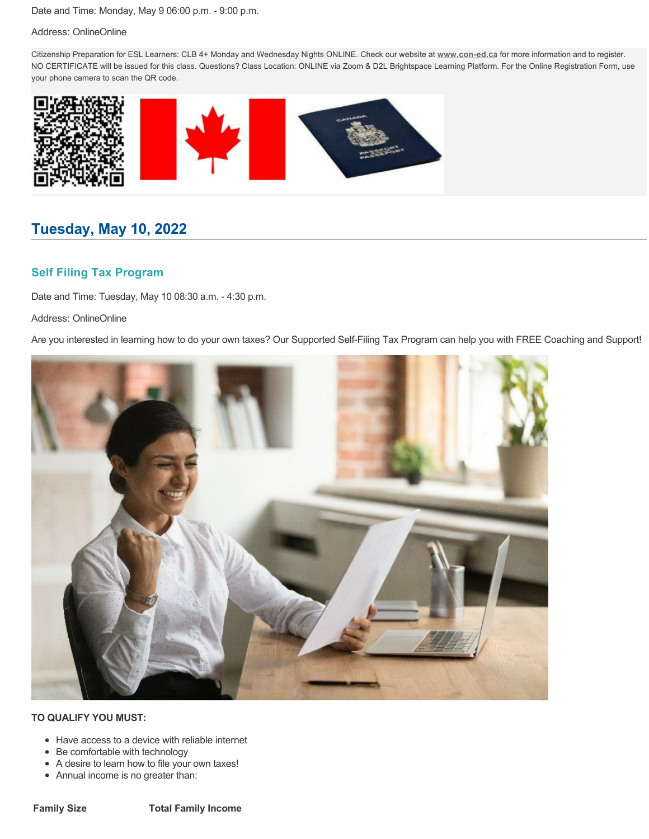Date and Time: Monday, May 9 06:00 p.m. - 9:00 p.m.

### Address: OnlineOnline

Citizenship Preparation for ESL Learners: CLB 4+ Monday and Wednesday Nights ONLINE. Check our website at **[www.con-ed.ca](https://www.con-ed.ca/en/index.aspx)** for more information and to register. NO CERTIFICATE will be issued for this class. Questions? Class Location: ONLINE via Zoom & D2L Brightspace Learning Platform. For the Online Registration Form, use your phone camera to scan the QR code.



# **Tuesday, May 10, 2022**

## **Self Filing Tax Program**

Date and Time: Tuesday, May 10 08:30 a.m. - 4:30 p.m.

Address: OnlineOnline

Are you interested in learning how to do your own taxes? Our Supported Self-Filing Tax Program can help you with FREE Coaching and Support!



- Have access to a device with reliable internet
- Be comfortable with technology
- A desire to learn how to file your own taxes!
- Annual income is no greater than: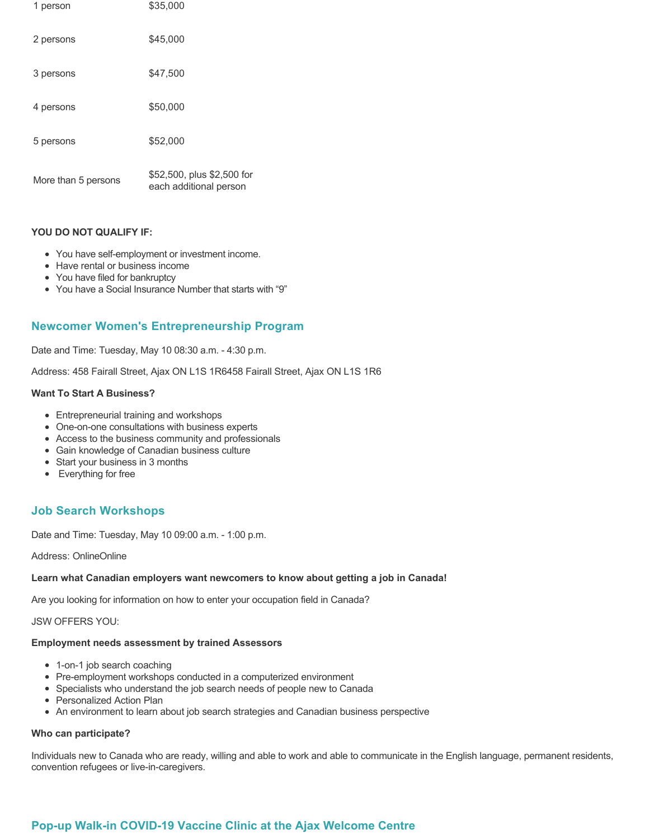| 1 person            | \$35,000                                             |
|---------------------|------------------------------------------------------|
| 2 persons           | \$45,000                                             |
| 3 persons           | \$47,500                                             |
| 4 persons           | \$50,000                                             |
| 5 persons           | \$52,000                                             |
| More than 5 persons | \$52,500, plus \$2,500 for<br>each additional person |

- You have self-employment or investment income.
- Have rental or business income
- You have filed for bankruptcy
- You have a Social Insurance Number that starts with "9"

## **Newcomer Women's Entrepreneurship Program**

Date and Time: Tuesday, May 10 08:30 a.m. - 4:30 p.m.

Address: 458 Fairall Street, Ajax ON L1S 1R6458 Fairall Street, Ajax ON L1S 1R6

### **Want To Start A Business?**

- Entrepreneurial training and workshops
- One-on-one consultations with business experts
- Access to the business community and professionals
- Gain knowledge of Canadian business culture
- Start your business in 3 months
- Everything for free

## **Job Search Workshops**

Date and Time: Tuesday, May 10 09:00 a.m. - 1:00 p.m.

Address: OnlineOnline

#### **Learn what Canadian employers want newcomers to know about getting a job in Canada!**

Are you looking for information on how to enter your occupation field in Canada?

JSW OFFERS YOU:

## **Employment needs assessment by trained Assessors**

- 1-on-1 job search coaching
- Pre-employment workshops conducted in a computerized environment
- Specialists who understand the job search needs of people new to Canada
- Personalized Action Plan
- An environment to learn about job search strategies and Canadian business perspective

## **Who can participate?**

Individuals new to Canada who are ready, willing and able to work and able to communicate in the English language, permanent residents, convention refugees or live-in-caregivers.

## **Pop-up Walk-in COVID-19 Vaccine Clinic at the Ajax Welcome Centre**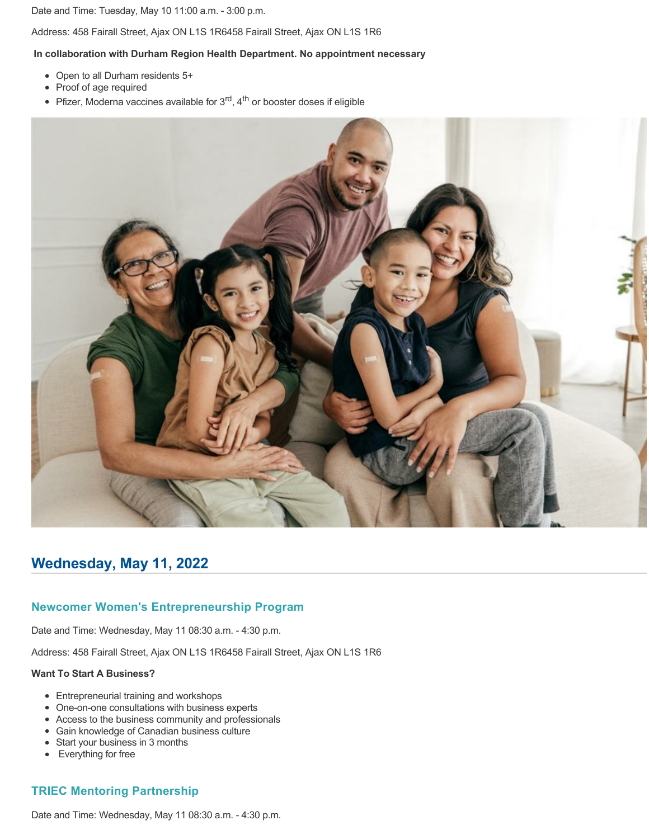Date and Time: Tuesday, May 10 11:00 a.m. - 3:00 p.m.

Address: 458 Fairall Street, Ajax ON L1S 1R6458 Fairall Street, Ajax ON L1S 1R6

#### **In collaboration with Durham Region Health Department. No appointment necessary**

- Open to all Durham residents 5+
- Proof of age required
- Pfizer, Moderna vaccines available for  $3<sup>rd</sup>$ , 4<sup>th</sup> or booster doses if eligible



## **Wednesday, May 11, 2022**

### **Newcomer Women's Entrepreneurship Program**

Date and Time: Wednesday, May 11 08:30 a.m. - 4:30 p.m.

Address: 458 Fairall Street, Ajax ON L1S 1R6458 Fairall Street, Ajax ON L1S 1R6

#### **Want To Start A Business?**

- Entrepreneurial training and workshops
- One-on-one consultations with business experts
- Access to the business community and professionals
- Gain knowledge of Canadian business culture
- Start your business in 3 months
- Everything for free

## **TRIEC Mentoring Partnership**

Date and Time: Wednesday, May 11 08:30 a.m. - 4:30 p.m.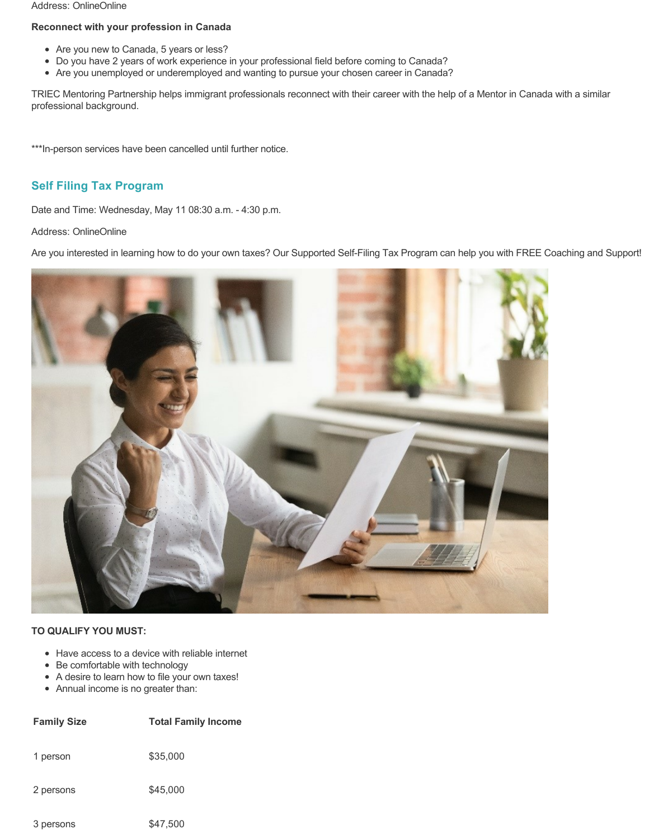#### Address: OnlineOnline

### **Reconnect with your profession in Canada**

- Are you new to Canada, 5 years or less?
- Do you have 2 years of work experience in your professional field before coming to Canada?
- Are you unemployed or underemployed and wanting to pursue your chosen career in Canada?

TRIEC Mentoring Partnership helps immigrant professionals reconnect with their career with the help of a Mentor in Canada with a similar professional background.

\*\*\*In-person services have been cancelled until further notice.

## **Self Filing Tax Program**

Date and Time: Wednesday, May 11 08:30 a.m. - 4:30 p.m.

Address: OnlineOnline

Are you interested in learning how to do your own taxes? Our Supported Self-Filing Tax Program can help you with FREE Coaching and Support!



- Have access to a device with reliable internet
- Be comfortable with technology
- A desire to learn how to file your own taxes!
- Annual income is no greater than:

| <b>Family Size</b> | <b>Total Family Income</b> |
|--------------------|----------------------------|
| 1 person           | \$35,000                   |
| 2 persons          | \$45,000                   |
| 3 persons          | \$47,500                   |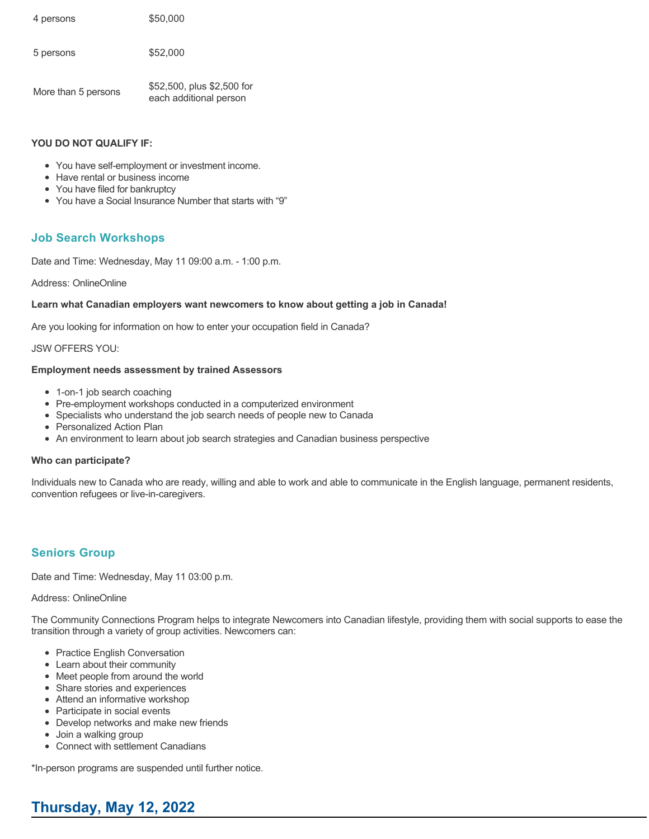| 4 persons           | \$50,000                                             |
|---------------------|------------------------------------------------------|
| 5 persons           | \$52,000                                             |
| More than 5 persons | \$52,500, plus \$2,500 for<br>each additional person |

- You have self-employment or investment income.
- Have rental or business income
- You have filed for bankruptcy
- You have a Social Insurance Number that starts with "9"

## **Job Search Workshops**

Date and Time: Wednesday, May 11 09:00 a.m. - 1:00 p.m.

### Address: OnlineOnline

### **Learn what Canadian employers want newcomers to know about getting a job in Canada!**

Are you looking for information on how to enter your occupation field in Canada?

JSW OFFERS YOU:

### **Employment needs assessment by trained Assessors**

- 1-on-1 job search coaching
- Pre-employment workshops conducted in a computerized environment
- Specialists who understand the job search needs of people new to Canada
- Personalized Action Plan
- An environment to learn about job search strategies and Canadian business perspective

### **Who can participate?**

Individuals new to Canada who are ready, willing and able to work and able to communicate in the English language, permanent residents, convention refugees or live-in-caregivers.

## **Seniors Group**

Date and Time: Wednesday, May 11 03:00 p.m.

#### Address: OnlineOnline

The Community Connections Program helps to integrate Newcomers into Canadian lifestyle, providing them with social supports to ease the transition through a variety of group activities. Newcomers can:

- Practice English Conversation
- Learn about their community
- Meet people from around the world
- Share stories and experiences
- Attend an informative workshop
- Participate in social events
- Develop networks and make new friends
- Join a walking group
- Connect with settlement Canadians

\*In-person programs are suspended until further notice.

# **Thursday, May 12, 2022**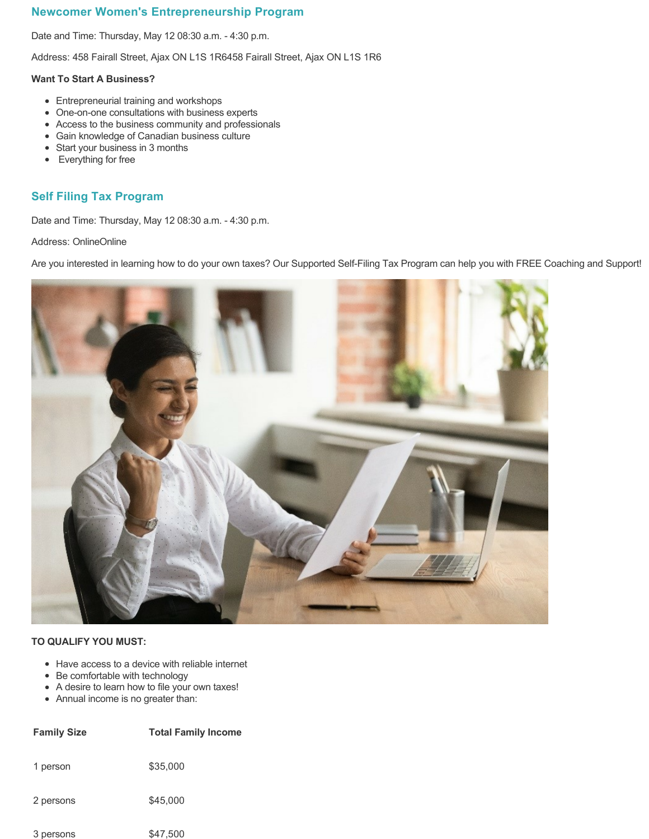## **Newcomer Women's Entrepreneurship Program**

Date and Time: Thursday, May 12 08:30 a.m. - 4:30 p.m.

Address: 458 Fairall Street, Ajax ON L1S 1R6458 Fairall Street, Ajax ON L1S 1R6

### **Want To Start A Business?**

- Entrepreneurial training and workshops
- One-on-one consultations with business experts
- Access to the business community and professionals
- Gain knowledge of Canadian business culture
- Start your business in 3 months
- Everything for free

## **Self Filing Tax Program**

Date and Time: Thursday, May 12 08:30 a.m. - 4:30 p.m.

Address: OnlineOnline

Are you interested in learning how to do your own taxes? Our Supported Self-Filing Tax Program can help you with FREE Coaching and Support!



- Have access to a device with reliable internet
- Be comfortable with technology
- A desire to learn how to file your own taxes!
- Annual income is no greater than:

| <b>Family Size</b> | <b>Total Family Income</b> |
|--------------------|----------------------------|
| 1 person           | \$35,000                   |
| 2 persons          | \$45,000                   |
| 3 persons          | \$47.500                   |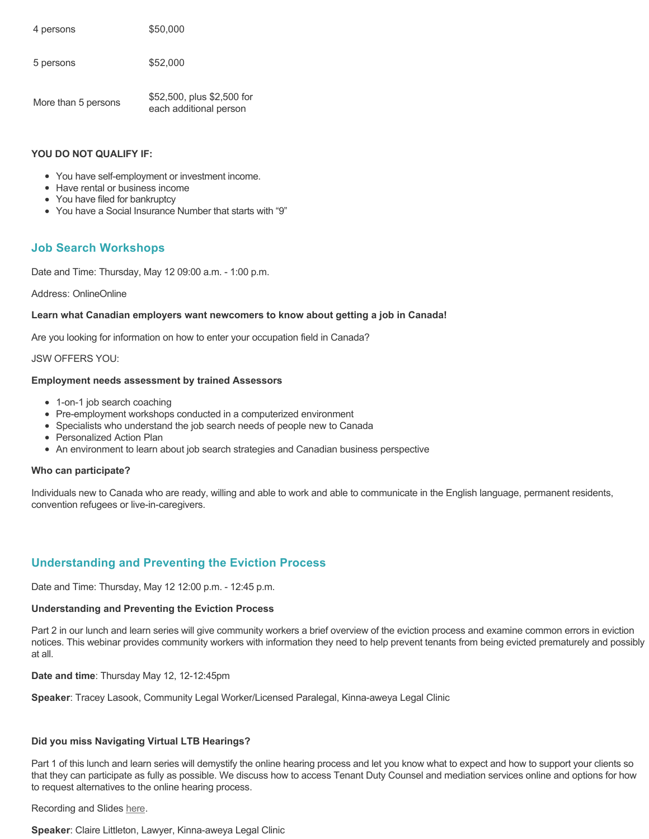4 persons  $$50,000$ 5 persons  $$52,000$ 

More than 5 persons \$52,500, plus \$2,500 for each additional person

### **YOU DO NOT QUALIFY IF:**

- You have self-employment or investment income.
- Have rental or business income
- You have filed for bankruptcy
- You have a Social Insurance Number that starts with "9"

## **Job Search Workshops**

Date and Time: Thursday, May 12 09:00 a.m. - 1:00 p.m.

### Address: OnlineOnline

### **Learn what Canadian employers want newcomers to know about getting a job in Canada!**

Are you looking for information on how to enter your occupation field in Canada?

### JSW OFFERS YOU:

### **Employment needs assessment by trained Assessors**

- 1-on-1 job search coaching
- Pre-employment workshops conducted in a computerized environment
- Specialists who understand the job search needs of people new to Canada
- Personalized Action Plan
- An environment to learn about job search strategies and Canadian business perspective

#### **Who can participate?**

Individuals new to Canada who are ready, willing and able to work and able to communicate in the English language, permanent residents, convention refugees or live-in-caregivers.

## **Understanding and Preventing the Eviction Process**

Date and Time: Thursday, May 12 12:00 p.m. - 12:45 p.m.

#### **Understanding and Preventing the Eviction Process**

Part 2 in our lunch and learn series will give community workers a brief overview of the eviction process and examine common errors in eviction notices. This webinar provides community workers with information they need to help prevent tenants from being evicted prematurely and possibly at all.

**Date and time**: Thursday May 12, 12-12:45pm

**Speaker**: Tracey Lasook, Community Legal Worker/Licensed Paralegal, Kinna-aweya Legal Clinic

### **Did you miss Navigating Virtual LTB Hearings?**

Part 1 of this lunch and learn series will demystify the online hearing process and let you know what to expect and how to support your clients so that they can participate as fully as possible. We discuss how to access Tenant Duty Counsel and mediation services online and options for how to request alternatives to the online hearing process.

Recording and Slides [here](https://can01.safelinks.protection.outlook.com/?url=https%3A%2F%2Foutreach.cleo.on.ca%2Fcivicrm%3Fciviwp%3DCiviCRM%26q%3Dcivicrm%2Fmailing%2Furl%26u%3D1787%26qid%3D330912&data=05%7C01%7CSamantha.Billingham%40durham.ca%7Cd69fed2bad954215dbf908da2eed60de%7C52d7c9c2d54941b69b1f9da198dc3f16%7C0%7C0%7C637873894308863351%7CUnknown%7CTWFpbGZsb3d8eyJWIjoiMC4wLjAwMDAiLCJQIjoiV2luMzIiLCJBTiI6Ik1haWwiLCJXVCI6Mn0%3D%7C3000%7C%7C%7C&sdata=0ZCxUeL4jPifKU9BEZJyFh%2FQadOo17PXffNd1dIl4Gk%3D&reserved=0).

**Speaker**: Claire Littleton, Lawyer, Kinna-aweya Legal Clinic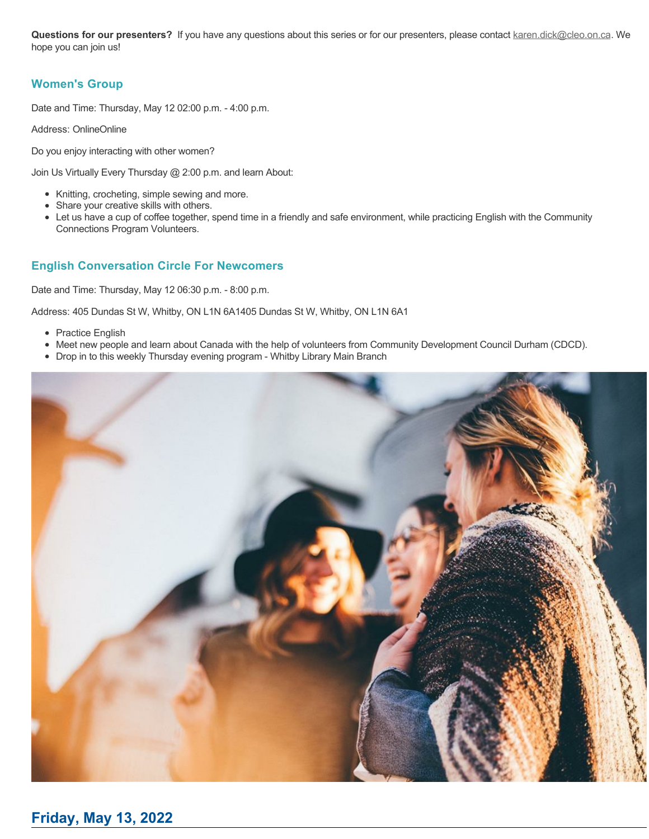Questions for our presenters? If you have any questions about this series or for our presenters, please contact [karen.dick@cleo.on.ca.](https://can01.safelinks.protection.outlook.com/?url=https%3A%2F%2Foutreach.cleo.on.ca%2Fcivicrm%3Fciviwp%3DCiviCRM%26q%3Dcivicrm%2Fmailing%2Furl%26u%3D1788%26qid%3D330912&data=05%7C01%7CSamantha.Billingham%40durham.ca%7Cd69fed2bad954215dbf908da2eed60de%7C52d7c9c2d54941b69b1f9da198dc3f16%7C0%7C0%7C637873894308863351%7CUnknown%7CTWFpbGZsb3d8eyJWIjoiMC4wLjAwMDAiLCJQIjoiV2luMzIiLCJBTiI6Ik1haWwiLCJXVCI6Mn0%3D%7C3000%7C%7C%7C&sdata=iIBmH%2FfaUb8PIPvSfTkHhVs7RxxOA11H%2Bpi7jiXlfHU%3D&reserved=0) We hope you can join us!

## **Women's Group**

Date and Time: Thursday, May 12 02:00 p.m. - 4:00 p.m.

Address: OnlineOnline

Do you enjoy interacting with other women?

Join Us Virtually Every Thursday @ 2:00 p.m. and learn About:

- Knitting, crocheting, simple sewing and more.
- Share your creative skills with others.
- Let us have a cup of coffee together, spend time in a friendly and safe environment, while practicing English with the Community Connections Program Volunteers.

## **English Conversation Circle For Newcomers**

Date and Time: Thursday, May 12 06:30 p.m. - 8:00 p.m.

Address: 405 Dundas St W, Whitby, ON L1N 6A1405 Dundas St W, Whitby, ON L1N 6A1

- Practice English
- Meet new people and learn about Canada with the help of volunteers from Community Development Council Durham (CDCD).
- Drop in to this weekly Thursday evening program Whitby Library Main Branch

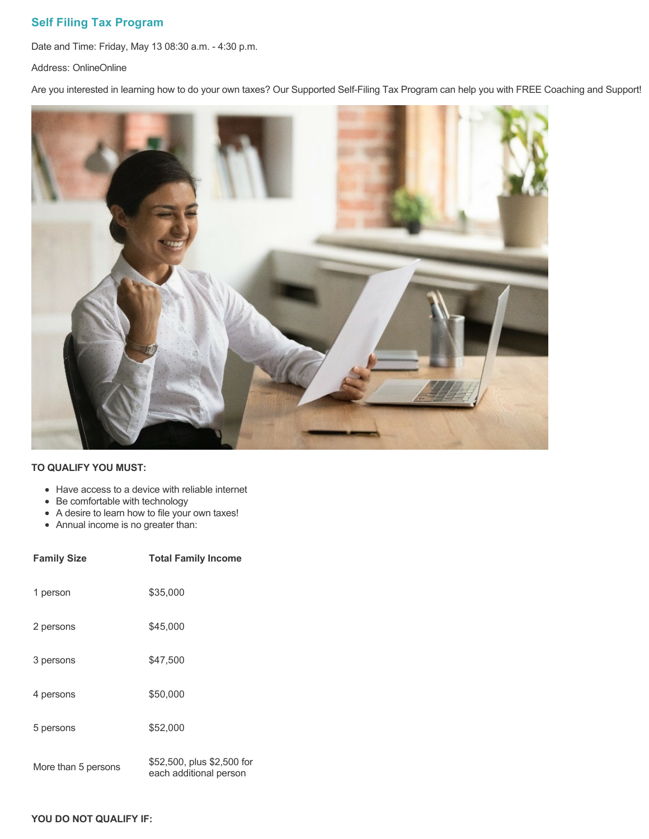## **Self Filing Tax Program**

Date and Time: Friday, May 13 08:30 a.m. - 4:30 p.m.

Address: OnlineOnline

Are you interested in learning how to do your own taxes? Our Supported Self-Filing Tax Program can help you with FREE Coaching and Support!



### **TO QUALIFY YOU MUST:**

- Have access to a device with reliable internet
- Be comfortable with technology
- A desire to learn how to file your own taxes!
- Annual income is no greater than:

| <b>Family Size</b>  | <b>Total Family Income</b>                           |
|---------------------|------------------------------------------------------|
| 1 person            | \$35,000                                             |
| 2 persons           | \$45,000                                             |
| 3 persons           | \$47,500                                             |
| 4 persons           | \$50,000                                             |
| 5 persons           | \$52,000                                             |
| More than 5 persons | \$52,500, plus \$2,500 for<br>each additional person |

### **YOU DO NOT QUALIFY IF:**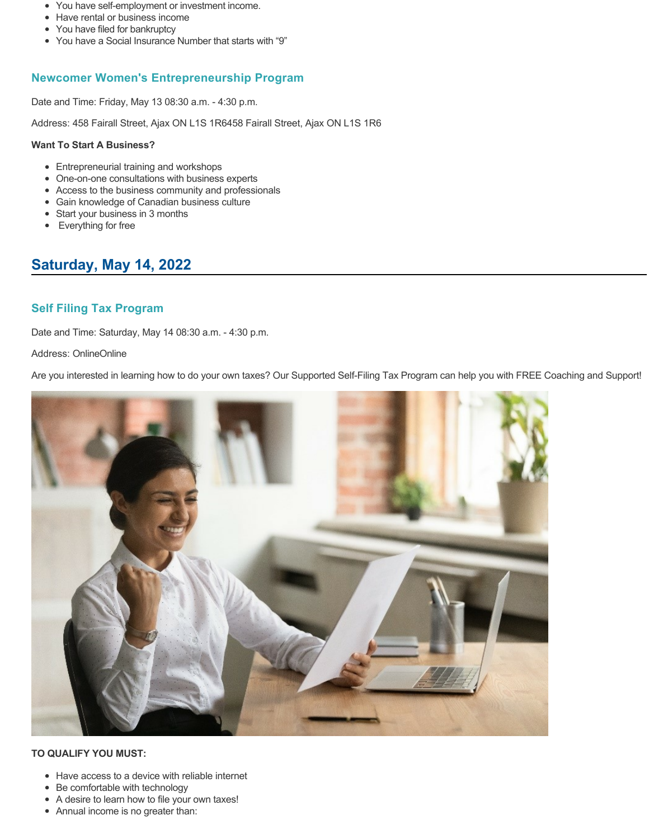- You have self-employment or investment income.
- Have rental or business income
- You have filed for bankruptcy
- You have a Social Insurance Number that starts with "9"

## **Newcomer Women's Entrepreneurship Program**

Date and Time: Friday, May 13 08:30 a.m. - 4:30 p.m.

Address: 458 Fairall Street, Ajax ON L1S 1R6458 Fairall Street, Ajax ON L1S 1R6

### **Want To Start A Business?**

- Entrepreneurial training and workshops
- One-on-one consultations with business experts
- Access to the business community and professionals
- Gain knowledge of Canadian business culture
- Start your business in 3 months
- Everything for free

# **Saturday, May 14, 2022**

## **Self Filing Tax Program**

Date and Time: Saturday, May 14 08:30 a.m. - 4:30 p.m.

Address: OnlineOnline

Are you interested in learning how to do your own taxes? Our Supported Self-Filing Tax Program can help you with FREE Coaching and Support!



- Have access to a device with reliable internet
- Be comfortable with technology
- A desire to learn how to file your own taxes!
- Annual income is no greater than: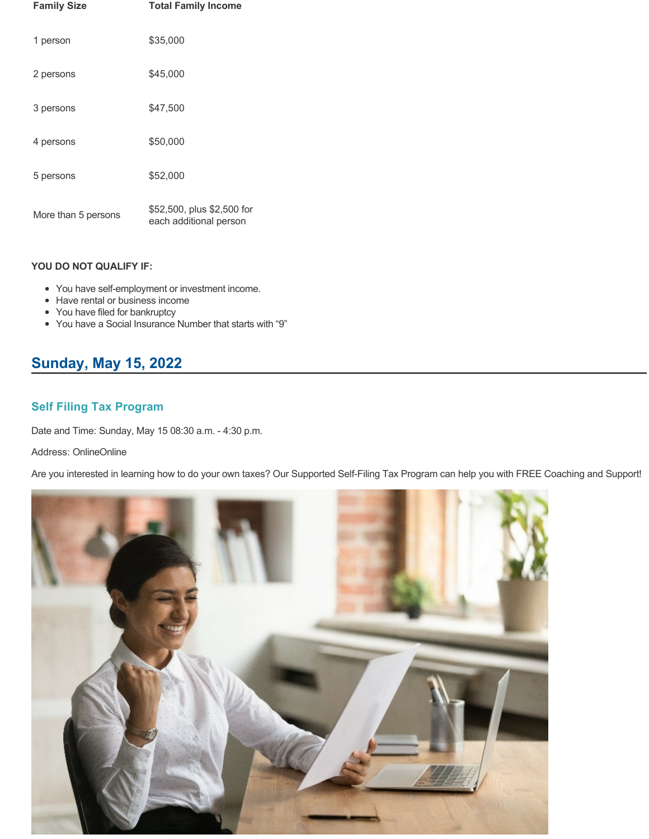| <b>Family Size</b>  | <b>Total Family Income</b>                           |
|---------------------|------------------------------------------------------|
| 1 person            | \$35,000                                             |
| 2 persons           | \$45,000                                             |
| 3 persons           | \$47.500                                             |
| 4 persons           | \$50,000                                             |
| 5 persons           | \$52,000                                             |
| More than 5 persons | \$52,500, plus \$2,500 for<br>each additional person |

- You have self-employment or investment income.
- Have rental or business income
- You have filed for bankruptcy
- You have a Social Insurance Number that starts with "9"

# **Sunday, May 15, 2022**

## **Self Filing Tax Program**

Date and Time: Sunday, May 15 08:30 a.m. - 4:30 p.m.

Address: OnlineOnline

Are you interested in learning how to do your own taxes? Our Supported Self-Filing Tax Program can help you with FREE Coaching and Support!

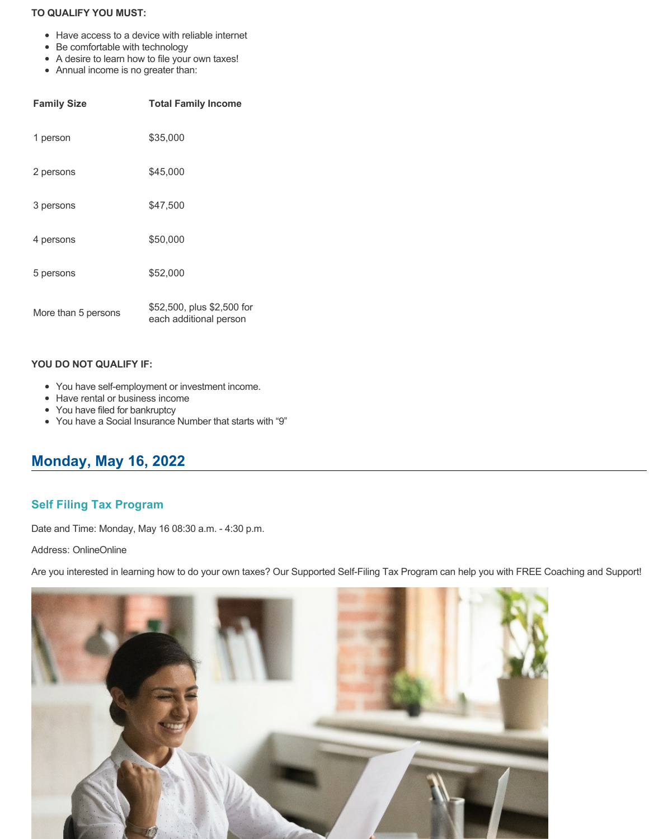## **TO QUALIFY YOU MUST:**

- Have access to a device with reliable internet
- Be comfortable with technology
- A desire to learn how to file your own taxes!
- Annual income is no greater than:

| <b>Family Size</b>  | <b>Total Family Income</b>                           |
|---------------------|------------------------------------------------------|
| 1 person            | \$35,000                                             |
| 2 persons           | \$45,000                                             |
| 3 persons           | \$47.500                                             |
| 4 persons           | \$50,000                                             |
| 5 persons           | \$52,000                                             |
| More than 5 persons | \$52,500, plus \$2,500 for<br>each additional person |

### **YOU DO NOT QUALIFY IF:**

- You have self-employment or investment income.
- Have rental or business income
- You have filed for bankruptcy
- You have a Social Insurance Number that starts with "9"

# **Monday, May 16, 2022**

## **Self Filing Tax Program**

Date and Time: Monday, May 16 08:30 a.m. - 4:30 p.m.

Address: OnlineOnline

Are you interested in learning how to do your own taxes? Our Supported Self-Filing Tax Program can help you with FREE Coaching and Support!

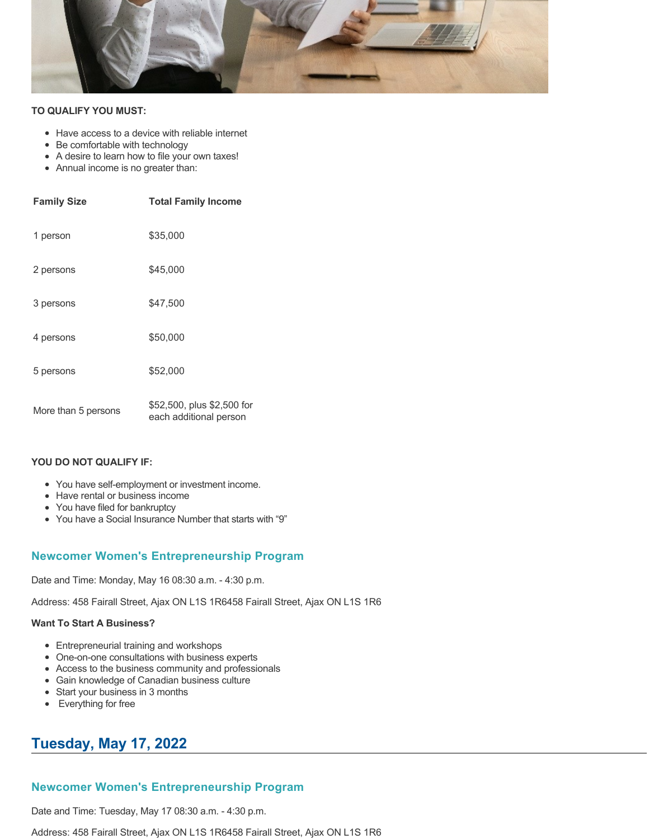

### **TO QUALIFY YOU MUST:**

- Have access to a device with reliable internet
- Be comfortable with technology
- A desire to learn how to file your own taxes!
- Annual income is no greater than:

| <b>Family Size</b>  | <b>Total Family Income</b>                           |
|---------------------|------------------------------------------------------|
| 1 person            | \$35,000                                             |
| 2 persons           | \$45,000                                             |
| 3 persons           | \$47,500                                             |
| 4 persons           | \$50,000                                             |
| 5 persons           | \$52,000                                             |
| More than 5 persons | \$52,500, plus \$2,500 for<br>each additional person |

### **YOU DO NOT QUALIFY IF:**

- You have self-employment or investment income.
- Have rental or business income
- You have filed for bankruptcy
- You have a Social Insurance Number that starts with "9"

## **Newcomer Women's Entrepreneurship Program**

Date and Time: Monday, May 16 08:30 a.m. - 4:30 p.m.

Address: 458 Fairall Street, Ajax ON L1S 1R6458 Fairall Street, Ajax ON L1S 1R6

### **Want To Start A Business?**

- Entrepreneurial training and workshops
- One-on-one consultations with business experts
- Access to the business community and professionals
- Gain knowledge of Canadian business culture
- Start your business in 3 months
- Everything for free

# **Tuesday, May 17, 2022**

## **Newcomer Women's Entrepreneurship Program**

Date and Time: Tuesday, May 17 08:30 a.m. - 4:30 p.m.

Address: 458 Fairall Street, Ajax ON L1S 1R6458 Fairall Street, Ajax ON L1S 1R6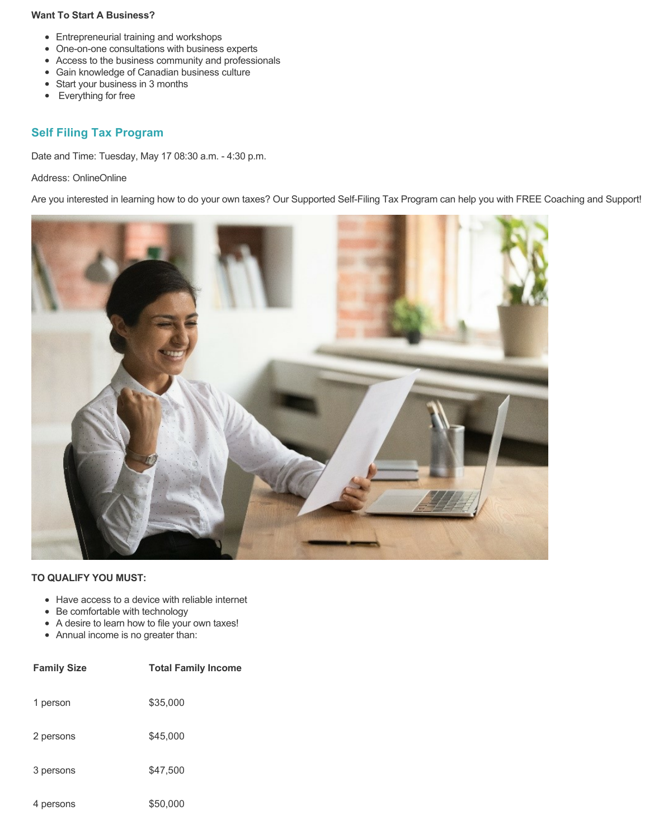### **Want To Start A Business?**

- Entrepreneurial training and workshops
- One-on-one consultations with business experts
- Access to the business community and professionals
- Gain knowledge of Canadian business culture
- Start your business in 3 months
- Everything for free

## **Self Filing Tax Program**

Date and Time: Tuesday, May 17 08:30 a.m. - 4:30 p.m.

## Address: OnlineOnline

Are you interested in learning how to do your own taxes? Our Supported Self-Filing Tax Program can help you with FREE Coaching and Support!



- Have access to a device with reliable internet
- Be comfortable with technology
- A desire to learn how to file your own taxes!
- Annual income is no greater than:

| <b>Family Size</b> | <b>Total Family Income</b> |
|--------------------|----------------------------|
| 1 person           | \$35,000                   |
| 2 persons          | \$45,000                   |
| 3 persons          | \$47,500                   |
| 4 persons          | \$50,000                   |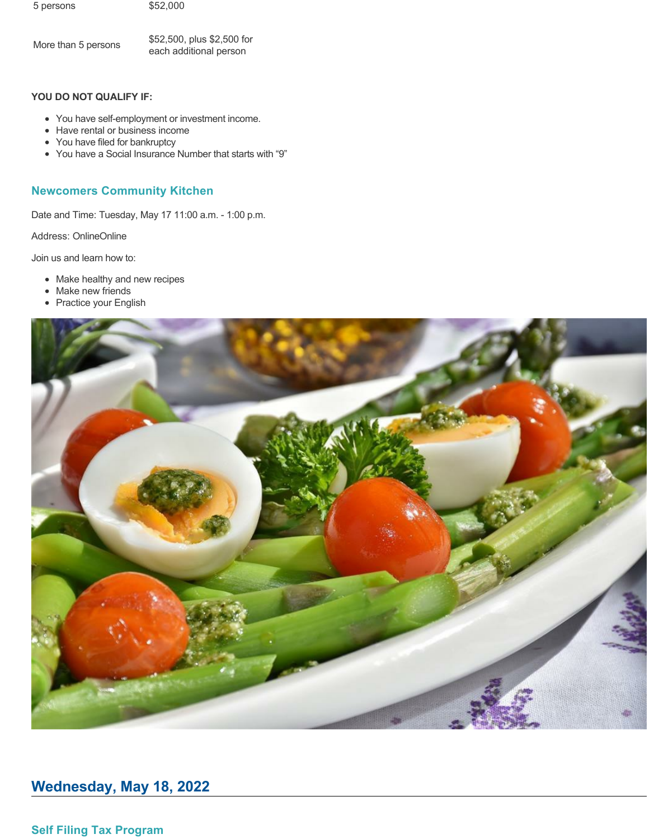5 persons \$52,000

More than 5 persons \$52,500, plus \$2,500 for each additional person

### **YOU DO NOT QUALIFY IF:**

- You have self-employment or investment income.
- Have rental or business income
- You have filed for bankruptcy
- You have a Social Insurance Number that starts with "9"

## **Newcomers Community Kitchen**

Date and Time: Tuesday, May 17 11:00 a.m. - 1:00 p.m.

Address: OnlineOnline

Join us and learn how to:

- Make healthy and new recipes
- Make new friends
- Practice your English



# **Wednesday, May 18, 2022**

**Self Filing Tax Program**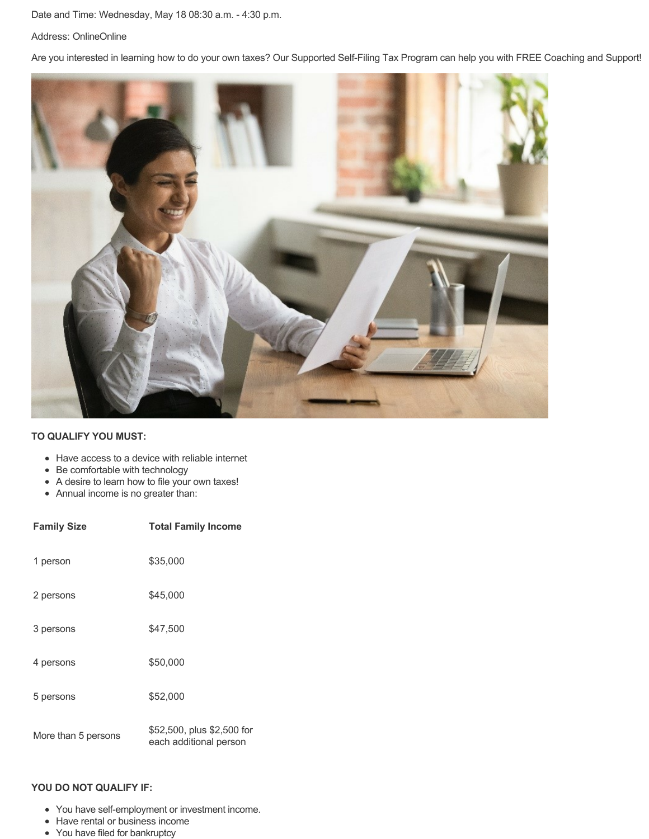### Date and Time: Wednesday, May 18 08:30 a.m. - 4:30 p.m.

#### Address: OnlineOnline

Are you interested in learning how to do your own taxes? Our Supported Self-Filing Tax Program can help you with FREE Coaching and Support!



### **TO QUALIFY YOU MUST:**

- Have access to a device with reliable internet
- Be comfortable with technology
- A desire to learn how to file your own taxes!
- Annual income is no greater than:

| <b>Family Size</b>  | <b>Total Family Income</b>                           |
|---------------------|------------------------------------------------------|
| 1 person            | \$35,000                                             |
| 2 persons           | \$45,000                                             |
| 3 persons           | \$47,500                                             |
| 4 persons           | \$50,000                                             |
| 5 persons           | \$52,000                                             |
| More than 5 persons | \$52,500, plus \$2,500 for<br>each additional person |

### **YOU DO NOT QUALIFY IF:**

- You have self-employment or investment income.
- Have rental or business income
- You have filed for bankruptcy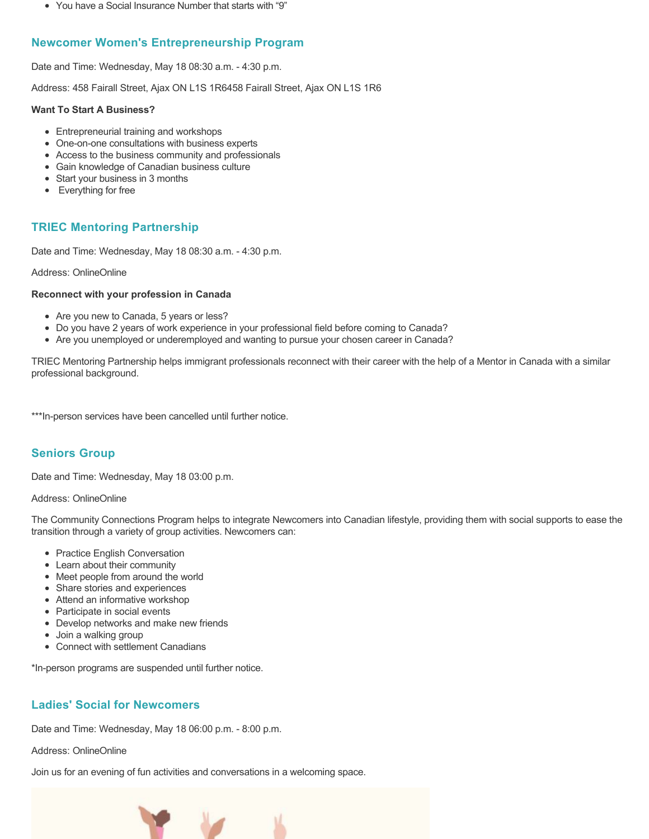You have a Social Insurance Number that starts with "9"

## **Newcomer Women's Entrepreneurship Program**

Date and Time: Wednesday, May 18 08:30 a.m. - 4:30 p.m.

Address: 458 Fairall Street, Ajax ON L1S 1R6458 Fairall Street, Ajax ON L1S 1R6

## **Want To Start A Business?**

- Entrepreneurial training and workshops
- One-on-one consultations with business experts
- Access to the business community and professionals
- Gain knowledge of Canadian business culture
- Start your business in 3 months
- Everything for free

## **TRIEC Mentoring Partnership**

Date and Time: Wednesday, May 18 08:30 a.m. - 4:30 p.m.

Address: OnlineOnline

## **Reconnect with your profession in Canada**

- Are you new to Canada, 5 years or less?
- Do you have 2 years of work experience in your professional field before coming to Canada?
- Are you unemployed or underemployed and wanting to pursue your chosen career in Canada?

TRIEC Mentoring Partnership helps immigrant professionals reconnect with their career with the help of a Mentor in Canada with a similar professional background.

\*\*\*In-person services have been cancelled until further notice.

## **Seniors Group**

Date and Time: Wednesday, May 18 03:00 p.m.

## Address: OnlineOnline

The Community Connections Program helps to integrate Newcomers into Canadian lifestyle, providing them with social supports to ease the transition through a variety of group activities. Newcomers can:

- Practice English Conversation
- Learn about their community
- Meet people from around the world
- Share stories and experiences
- Attend an informative workshop
- Participate in social events
- Develop networks and make new friends
- Join a walking group
- Connect with settlement Canadians

\*In-person programs are suspended until further notice.

## **Ladies' Social for Newcomers**

Date and Time: Wednesday, May 18 06:00 p.m. - 8:00 p.m.

Address: OnlineOnline

Join us for an evening of fun activities and conversations in a welcoming space.

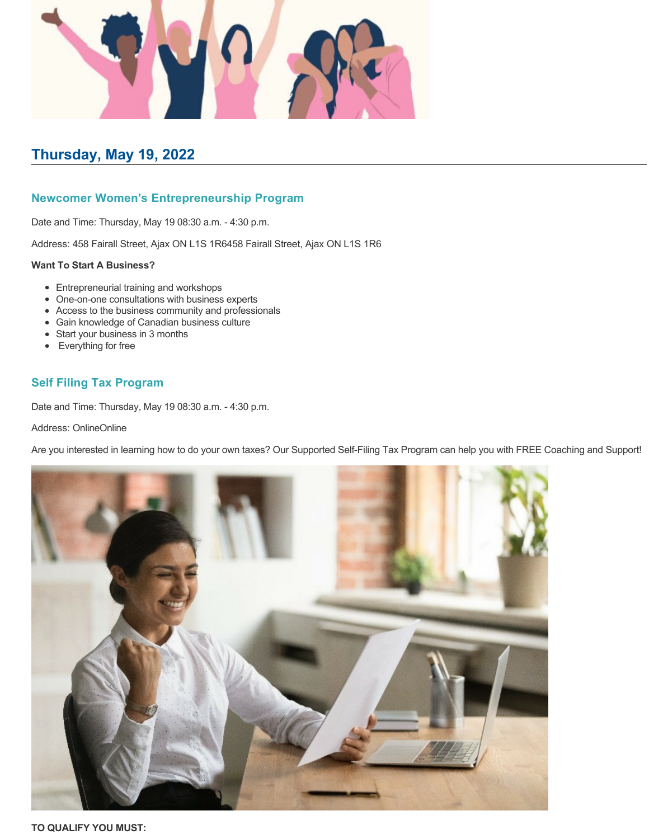

# **Thursday, May 19, 2022**

## **Newcomer Women's Entrepreneurship Program**

Date and Time: Thursday, May 19 08:30 a.m. - 4:30 p.m.

Address: 458 Fairall Street, Ajax ON L1S 1R6458 Fairall Street, Ajax ON L1S 1R6

### **Want To Start A Business?**

- Entrepreneurial training and workshops
- One-on-one consultations with business experts
- Access to the business community and professionals
- Gain knowledge of Canadian business culture
- Start your business in 3 months
- Everything for free

## **Self Filing Tax Program**

Date and Time: Thursday, May 19 08:30 a.m. - 4:30 p.m.

### Address: OnlineOnline

Are you interested in learning how to do your own taxes? Our Supported Self-Filing Tax Program can help you with FREE Coaching and Support!

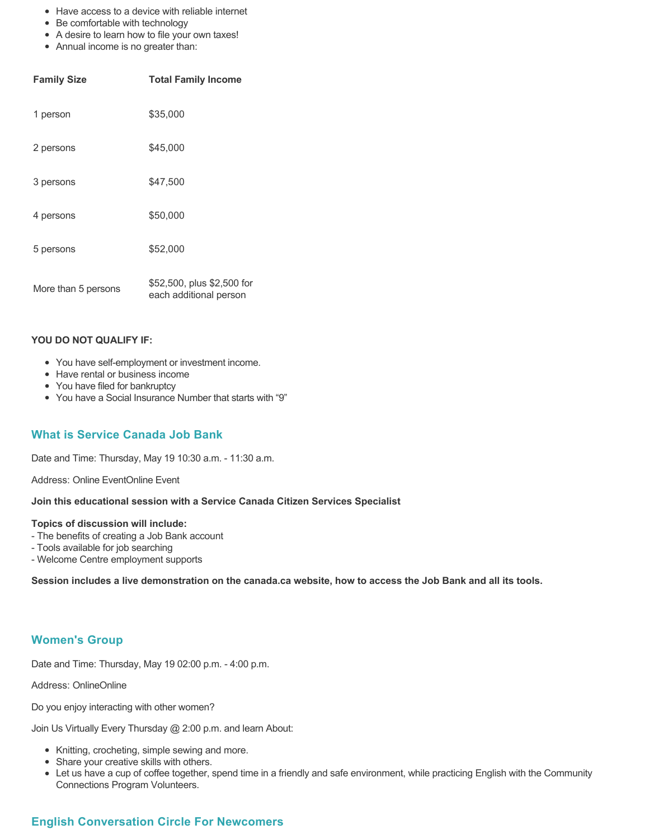- Have access to a device with reliable internet
- Be comfortable with technology
- A desire to learn how to file your own taxes!
- Annual income is no greater than:

| <b>Family Size</b>  | <b>Total Family Income</b>                           |
|---------------------|------------------------------------------------------|
| 1 person            | \$35,000                                             |
| 2 persons           | \$45,000                                             |
| 3 persons           | \$47,500                                             |
| 4 persons           | \$50,000                                             |
| 5 persons           | \$52,000                                             |
| More than 5 persons | \$52,500, plus \$2,500 for<br>each additional person |

- You have self-employment or investment income.
- Have rental or business income
- You have filed for bankruptcy
- You have a Social Insurance Number that starts with "9"

## **What is Service Canada Job Bank**

Date and Time: Thursday, May 19 10:30 a.m. - 11:30 a.m.

Address: Online EventOnline Event

### **Join this educational session with a Service Canada Citizen Services Specialist**

#### **Topics of discussion will include:**

- The benefits of creating a Job Bank account
- Tools available for job searching
- Welcome Centre employment supports

**Session includes a live demonstration on the canada.ca website, how to access the Job Bank and all its tools.**

## **Women's Group**

Date and Time: Thursday, May 19 02:00 p.m. - 4:00 p.m.

Address: OnlineOnline

Do you enjoy interacting with other women?

Join Us Virtually Every Thursday @ 2:00 p.m. and learn About:

- Knitting, crocheting, simple sewing and more.
- Share your creative skills with others.
- Let us have a cup of coffee together, spend time in a friendly and safe environment, while practicing English with the Community Connections Program Volunteers.

## **English Conversation Circle For Newcomers**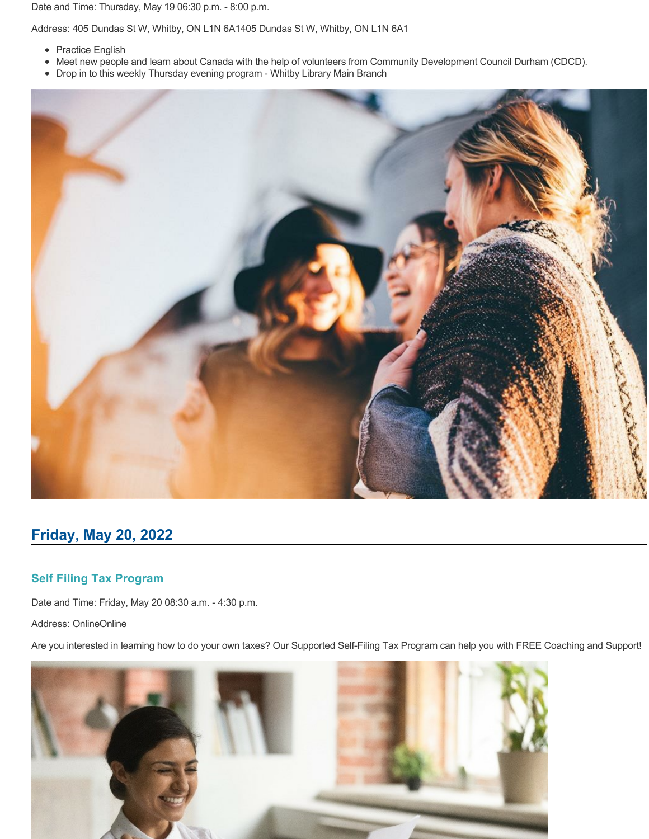Date and Time: Thursday, May 19 06:30 p.m. - 8:00 p.m.

Address: 405 Dundas St W, Whitby, ON L1N 6A1405 Dundas St W, Whitby, ON L1N 6A1

- Practice English
- Meet new people and learn about Canada with the help of volunteers from Community Development Council Durham (CDCD).
- Drop in to this weekly Thursday evening program Whitby Library Main Branch



## **Friday, May 20, 2022**

## **Self Filing Tax Program**

Date and Time: Friday, May 20 08:30 a.m. - 4:30 p.m.

Address: OnlineOnline

Are you interested in learning how to do your own taxes? Our Supported Self-Filing Tax Program can help you with FREE Coaching and Support!

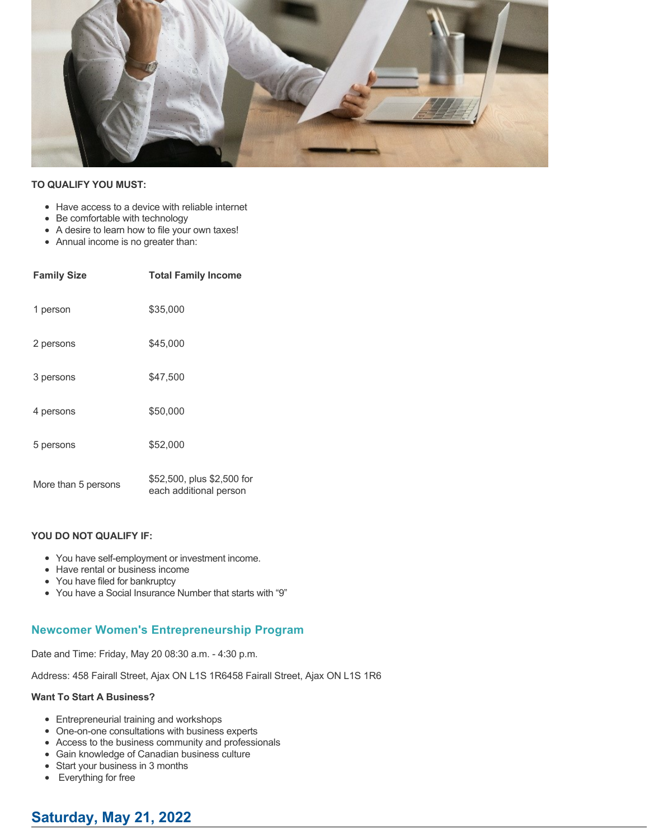

### **TO QUALIFY YOU MUST:**

- Have access to a device with reliable internet
- Be comfortable with technology
- A desire to learn how to file your own taxes!
- Annual income is no greater than:

| <b>Family Size</b>  | <b>Total Family Income</b>                           |
|---------------------|------------------------------------------------------|
| 1 person            | \$35,000                                             |
| 2 persons           | \$45,000                                             |
| 3 persons           | \$47,500                                             |
| 4 persons           | \$50,000                                             |
| 5 persons           | \$52,000                                             |
| More than 5 persons | \$52,500, plus \$2,500 for<br>each additional person |

### **YOU DO NOT QUALIFY IF:**

- You have self-employment or investment income.
- Have rental or business income
- You have filed for bankruptcy
- You have a Social Insurance Number that starts with "9"

## **Newcomer Women's Entrepreneurship Program**

Date and Time: Friday, May 20 08:30 a.m. - 4:30 p.m.

Address: 458 Fairall Street, Ajax ON L1S 1R6458 Fairall Street, Ajax ON L1S 1R6

#### **Want To Start A Business?**

- Entrepreneurial training and workshops
- One-on-one consultations with business experts
- Access to the business community and professionals
- Gain knowledge of Canadian business culture
- Start your business in 3 months
- Everything for free

## **Saturday, May 21, 2022**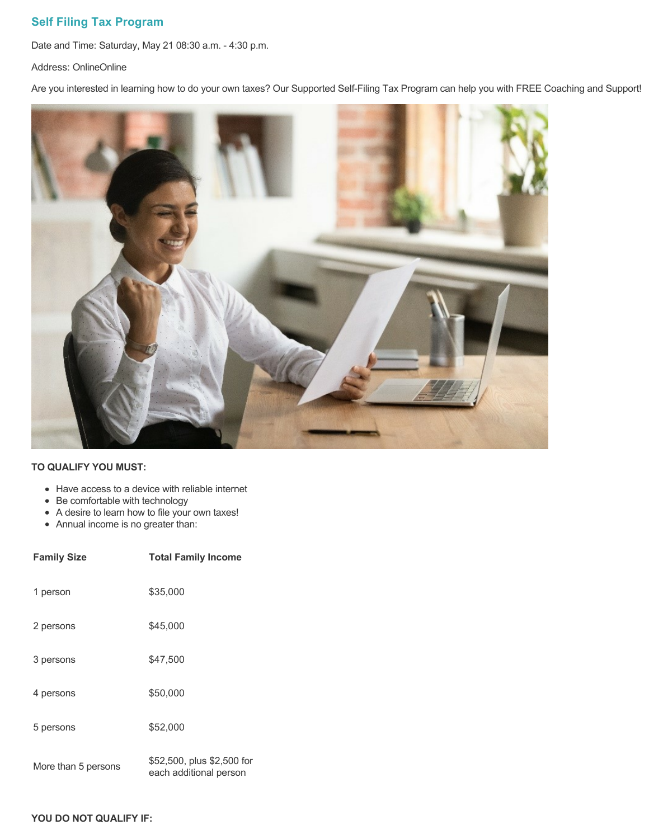## **Self Filing Tax Program**

Date and Time: Saturday, May 21 08:30 a.m. - 4:30 p.m.

Address: OnlineOnline

Are you interested in learning how to do your own taxes? Our Supported Self-Filing Tax Program can help you with FREE Coaching and Support!



## **TO QUALIFY YOU MUST:**

- Have access to a device with reliable internet
- Be comfortable with technology
- A desire to learn how to file your own taxes!
- Annual income is no greater than:

| <b>Family Size</b>  | <b>Total Family Income</b>                           |
|---------------------|------------------------------------------------------|
| 1 person            | \$35,000                                             |
| 2 persons           | \$45,000                                             |
| 3 persons           | \$47,500                                             |
| 4 persons           | \$50,000                                             |
| 5 persons           | \$52,000                                             |
| More than 5 persons | \$52,500, plus \$2,500 for<br>each additional person |

### **YOU DO NOT QUALIFY IF:**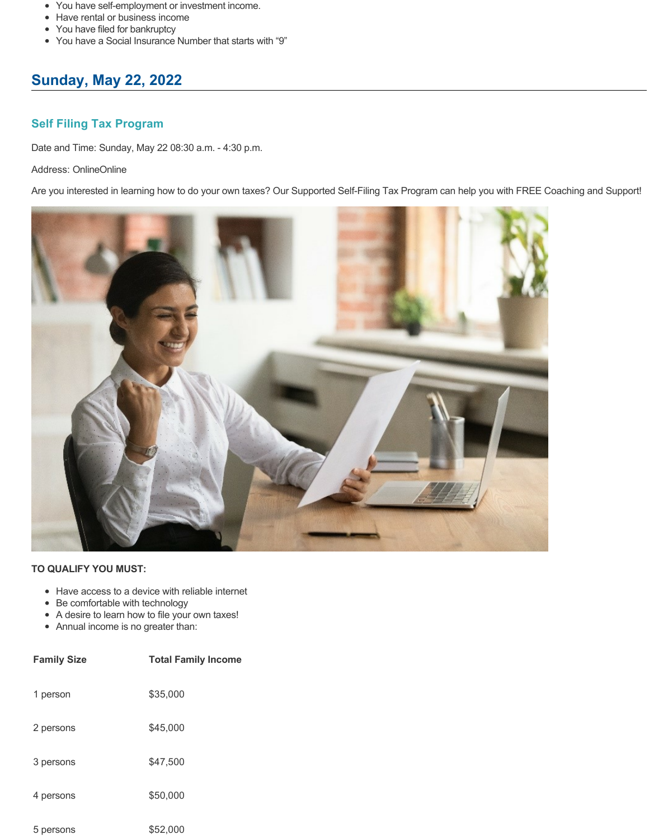- You have self-employment or investment income.
- Have rental or business income
- You have filed for bankruptcy
- You have a Social Insurance Number that starts with "9"

# **Sunday, May 22, 2022**

## **Self Filing Tax Program**

Date and Time: Sunday, May 22 08:30 a.m. - 4:30 p.m.

## Address: OnlineOnline

Are you interested in learning how to do your own taxes? Our Supported Self-Filing Tax Program can help you with FREE Coaching and Support!



- Have access to a device with reliable internet
- Be comfortable with technology
- A desire to learn how to file your own taxes!
- Annual income is no greater than:

| <b>Family Size</b> | <b>Total Family Income</b> |
|--------------------|----------------------------|
| 1 person           | \$35,000                   |
| 2 persons          | \$45,000                   |
| 3 persons          | \$47,500                   |
| 4 persons          | \$50,000                   |
| 5 persons          | \$52,000                   |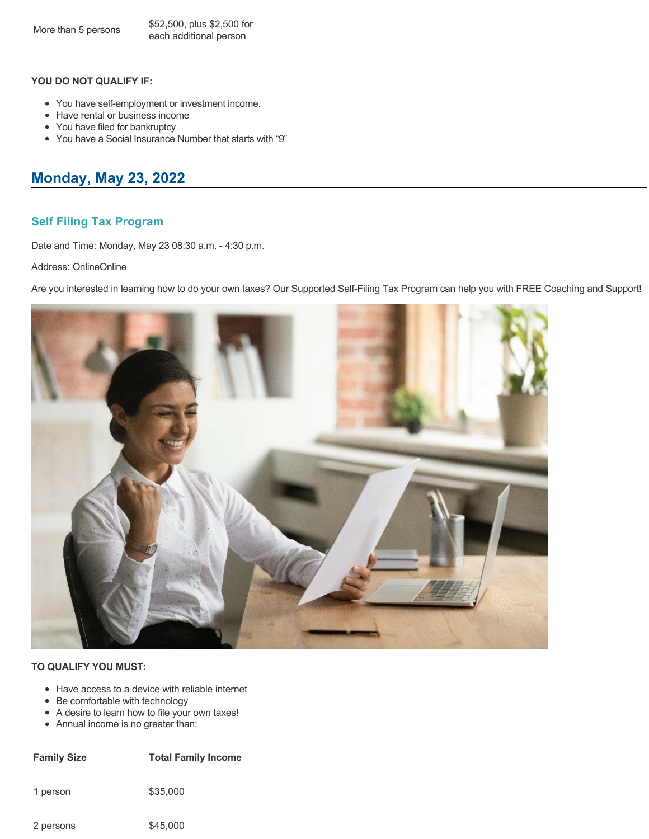- You have self-employment or investment income.
- Have rental or business income
- You have filed for bankruptcy
- You have a Social Insurance Number that starts with "9"

# **Monday, May 23, 2022**

## **Self Filing Tax Program**

Date and Time: Monday, May 23 08:30 a.m. - 4:30 p.m.

Address: OnlineOnline

Are you interested in learning how to do your own taxes? Our Supported Self-Filing Tax Program can help you with FREE Coaching and Support!



### **TO QUALIFY YOU MUST:**

- Have access to a device with reliable internet
- Be comfortable with technology
- A desire to learn how to file your own taxes!
- Annual income is no greater than:

| <b>Family Size</b> | <b>Total Family Income</b> |
|--------------------|----------------------------|
| 1 person           | \$35,000                   |

2 persons \$45,000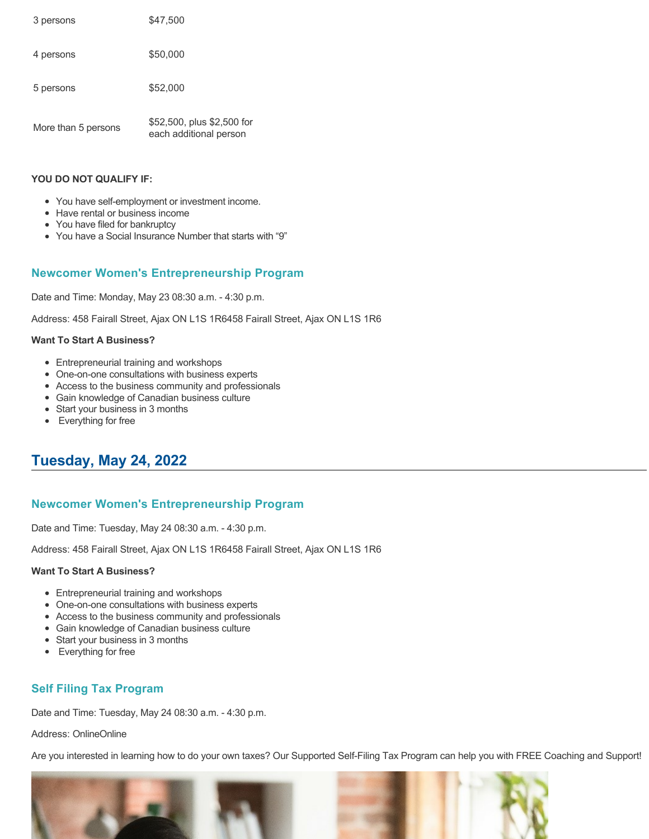| 3 persons           | \$47,500                                             |
|---------------------|------------------------------------------------------|
| 4 persons           | \$50,000                                             |
| 5 persons           | \$52,000                                             |
| More than 5 persons | \$52,500, plus \$2,500 for<br>each additional person |

- You have self-employment or investment income.
- Have rental or business income
- You have filed for bankruptcy
- You have a Social Insurance Number that starts with "9"

## **Newcomer Women's Entrepreneurship Program**

Date and Time: Monday, May 23 08:30 a.m. - 4:30 p.m.

Address: 458 Fairall Street, Ajax ON L1S 1R6458 Fairall Street, Ajax ON L1S 1R6

### **Want To Start A Business?**

- Entrepreneurial training and workshops
- One-on-one consultations with business experts
- Access to the business community and professionals
- Gain knowledge of Canadian business culture
- Start your business in 3 months
- Everything for free

# **Tuesday, May 24, 2022**

## **Newcomer Women's Entrepreneurship Program**

Date and Time: Tuesday, May 24 08:30 a.m. - 4:30 p.m.

Address: 458 Fairall Street, Ajax ON L1S 1R6458 Fairall Street, Ajax ON L1S 1R6

### **Want To Start A Business?**

- Entrepreneurial training and workshops
- One-on-one consultations with business experts
- Access to the business community and professionals
- Gain knowledge of Canadian business culture
- Start your business in 3 months
- Everything for free

## **Self Filing Tax Program**

Date and Time: Tuesday, May 24 08:30 a.m. - 4:30 p.m.

Address: OnlineOnline

Are you interested in learning how to do your own taxes? Our Supported Self-Filing Tax Program can help you with FREE Coaching and Support!



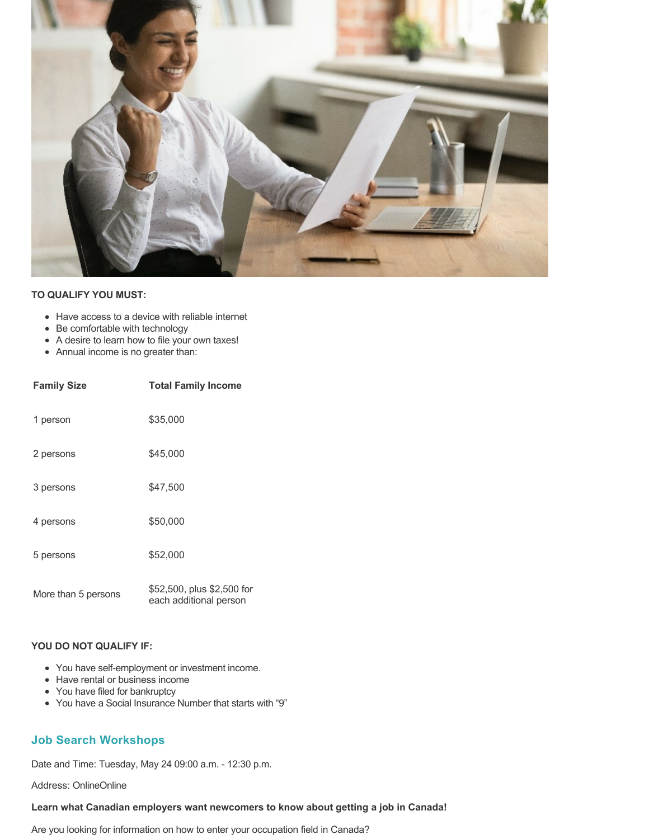

### **TO QUALIFY YOU MUST:**

- Have access to a device with reliable internet
- Be comfortable with technology
- A desire to learn how to file your own taxes!
- Annual income is no greater than:

| <b>Family Size</b>  | <b>Total Family Income</b>                           |
|---------------------|------------------------------------------------------|
| 1 person            | \$35,000                                             |
| 2 persons           | \$45,000                                             |
| 3 persons           | \$47.500                                             |
| 4 persons           | \$50,000                                             |
| 5 persons           | \$52,000                                             |
| More than 5 persons | \$52,500, plus \$2,500 for<br>each additional person |

#### **YOU DO NOT QUALIFY IF:**

- You have self-employment or investment income.
- Have rental or business income
- You have filed for bankruptcy
- You have a Social Insurance Number that starts with "9"

## **Job Search Workshops**

Date and Time: Tuesday, May 24 09:00 a.m. - 12:30 p.m.

Address: OnlineOnline

#### **Learn what Canadian employers want newcomers to know about getting a job in Canada!**

Are you looking for information on how to enter your occupation field in Canada?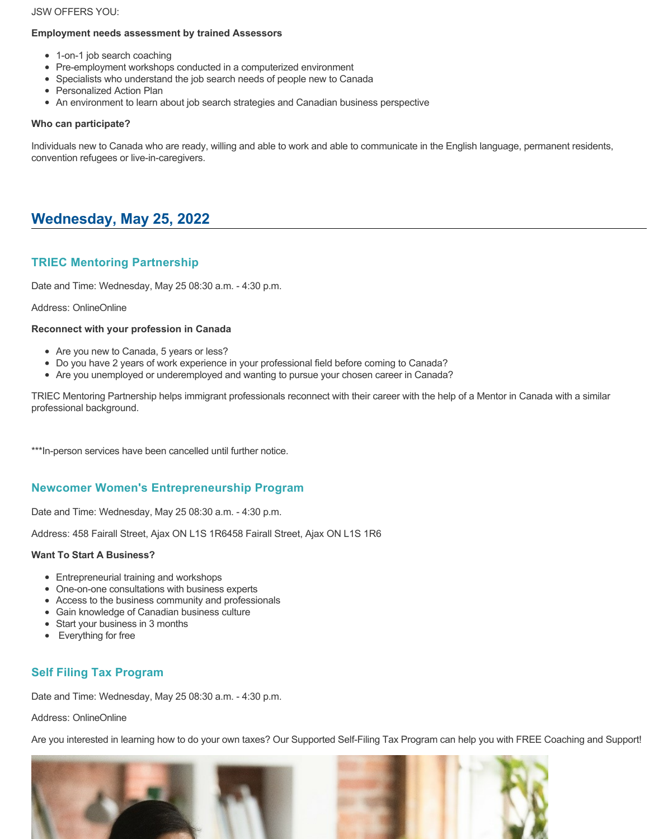### JSW OFFERS YOU:

## **Employment needs assessment by trained Assessors**

- 1-on-1 job search coaching
- Pre-employment workshops conducted in a computerized environment
- Specialists who understand the job search needs of people new to Canada
- Personalized Action Plan
- An environment to learn about job search strategies and Canadian business perspective

## **Who can participate?**

Individuals new to Canada who are ready, willing and able to work and able to communicate in the English language, permanent residents, convention refugees or live-in-caregivers.

# **Wednesday, May 25, 2022**

## **TRIEC Mentoring Partnership**

Date and Time: Wednesday, May 25 08:30 a.m. - 4:30 p.m.

## Address: OnlineOnline

## **Reconnect with your profession in Canada**

- Are you new to Canada, 5 years or less?
- Do you have 2 years of work experience in your professional field before coming to Canada?
- Are you unemployed or underemployed and wanting to pursue your chosen career in Canada?

TRIEC Mentoring Partnership helps immigrant professionals reconnect with their career with the help of a Mentor in Canada with a similar professional background.

\*\*\*In-person services have been cancelled until further notice.

## **Newcomer Women's Entrepreneurship Program**

Date and Time: Wednesday, May 25 08:30 a.m. - 4:30 p.m.

Address: 458 Fairall Street, Ajax ON L1S 1R6458 Fairall Street, Ajax ON L1S 1R6

## **Want To Start A Business?**

- Entrepreneurial training and workshops
- One-on-one consultations with business experts
- Access to the business community and professionals
- Gain knowledge of Canadian business culture
- Start your business in 3 months
- Everything for free

## **Self Filing Tax Program**

Date and Time: Wednesday, May 25 08:30 a.m. - 4:30 p.m.

Address: OnlineOnline

Are you interested in learning how to do your own taxes? Our Supported Self-Filing Tax Program can help you with FREE Coaching and Support!

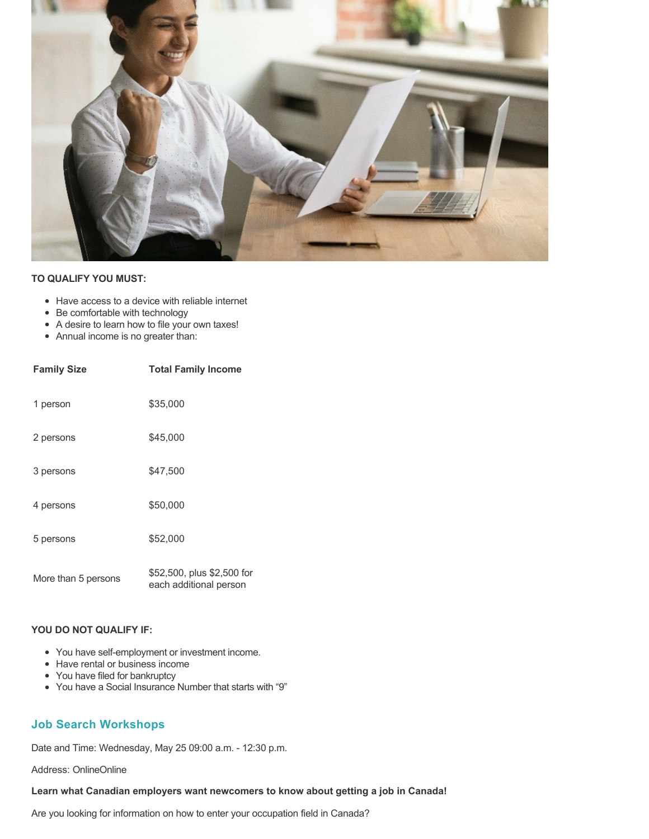

### **TO QUALIFY YOU MUST:**

- Have access to a device with reliable internet
- Be comfortable with technology
- A desire to learn how to file your own taxes!
- Annual income is no greater than:

| <b>Family Size</b>  | <b>Total Family Income</b>                           |
|---------------------|------------------------------------------------------|
| 1 person            | \$35,000                                             |
| 2 persons           | \$45,000                                             |
| 3 persons           | \$47,500                                             |
| 4 persons           | \$50,000                                             |
| 5 persons           | \$52,000                                             |
| More than 5 persons | \$52,500, plus \$2,500 for<br>each additional person |

### **YOU DO NOT QUALIFY IF:**

- You have self-employment or investment income.
- Have rental or business income
- You have filed for bankruptcy
- You have a Social Insurance Number that starts with "9"

## **Job Search Workshops**

Date and Time: Wednesday, May 25 09:00 a.m. - 12:30 p.m.

Address: OnlineOnline

### **Learn what Canadian employers want newcomers to know about getting a job in Canada!**

Are you looking for information on how to enter your occupation field in Canada?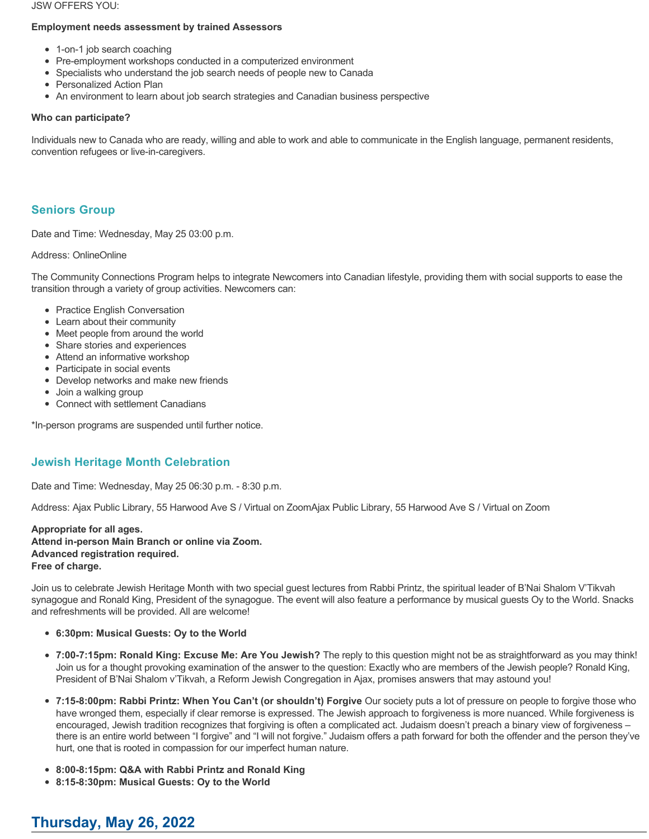#### JSW OFFERS YOU:

### **Employment needs assessment by trained Assessors**

- 1-on-1 job search coaching
- Pre-employment workshops conducted in a computerized environment
- Specialists who understand the job search needs of people new to Canada
- Personalized Action Plan
- An environment to learn about job search strategies and Canadian business perspective

## **Who can participate?**

Individuals new to Canada who are ready, willing and able to work and able to communicate in the English language, permanent residents, convention refugees or live-in-caregivers.

## **Seniors Group**

Date and Time: Wednesday, May 25 03:00 p.m.

## Address: OnlineOnline

The Community Connections Program helps to integrate Newcomers into Canadian lifestyle, providing them with social supports to ease the transition through a variety of group activities. Newcomers can:

- Practice English Conversation
- Learn about their community
- Meet people from around the world
- Share stories and experiences
- Attend an informative workshop
- Participate in social events
- Develop networks and make new friends
- Join a walking group
- Connect with settlement Canadians

\*In-person programs are suspended until further notice.

## **Jewish Heritage Month Celebration**

Date and Time: Wednesday, May 25 06:30 p.m. - 8:30 p.m.

Address: Ajax Public Library, 55 Harwood Ave S / Virtual on ZoomAjax Public Library, 55 Harwood Ave S / Virtual on Zoom

### **Appropriate for all ages. Attend in-person Main Branch or online via Zoom. Advanced registration required. Free of charge.**

Join us to celebrate Jewish Heritage Month with two special guest lectures from Rabbi Printz, the spiritual leader of B'Nai Shalom V'Tikvah synagogue and Ronald King, President of the synagogue. The event will also feature a performance by musical guests Oy to the World. Snacks and refreshments will be provided. All are welcome!

- **6:30pm: Musical Guests: Oy to the World**
- **7:00-7:15pm: Ronald King: Excuse Me: Are You Jewish?** The reply to this question might not be as straightforward as you may think! Join us for a thought provoking examination of the answer to the question: Exactly who are members of the Jewish people? Ronald King, President of B'Nai Shalom v'Tikvah, a Reform Jewish Congregation in Ajax, promises answers that may astound you!
- **7:15-8:00pm: Rabbi Printz: When You Can't (or shouldn't) Forgive** Our society puts a lot of pressure on people to forgive those who have wronged them, especially if clear remorse is expressed. The Jewish approach to forgiveness is more nuanced. While forgiveness is encouraged, Jewish tradition recognizes that forgiving is often a complicated act. Judaism doesn't preach a binary view of forgiveness – there is an entire world between "I forgive" and "I will not forgive." Judaism offers a path forward for both the offender and the person they've hurt, one that is rooted in compassion for our imperfect human nature.
- **8:00-8:15pm: Q&A with Rabbi Printz and Ronald King**
- **8:15-8:30pm: Musical Guests: Oy to the World**

# **Thursday, May 26, 2022**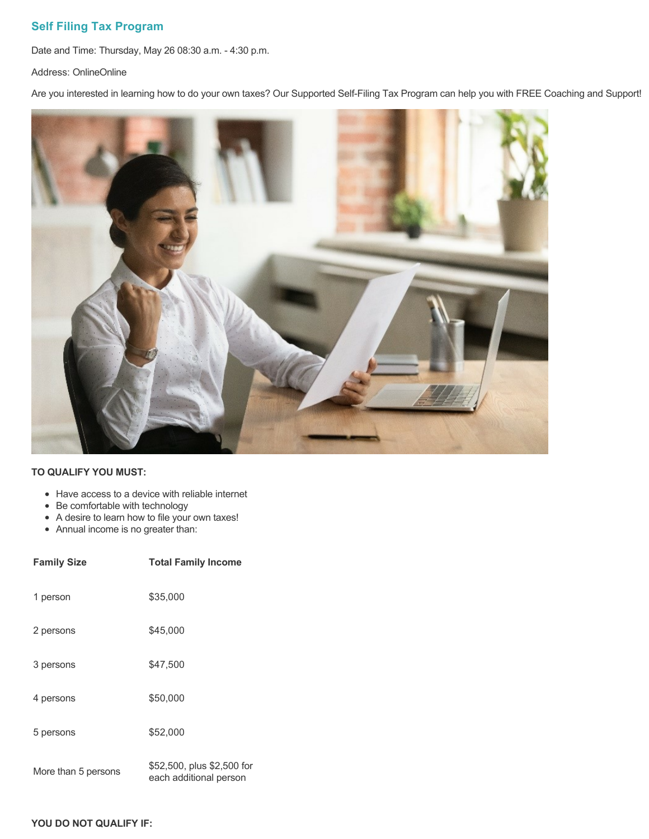## **Self Filing Tax Program**

Date and Time: Thursday, May 26 08:30 a.m. - 4:30 p.m.

Address: OnlineOnline

Are you interested in learning how to do your own taxes? Our Supported Self-Filing Tax Program can help you with FREE Coaching and Support!



### **TO QUALIFY YOU MUST:**

- Have access to a device with reliable internet
- Be comfortable with technology
- A desire to learn how to file your own taxes!
- Annual income is no greater than:

| <b>Family Size</b>  | <b>Total Family Income</b>                           |
|---------------------|------------------------------------------------------|
| 1 person            | \$35,000                                             |
| 2 persons           | \$45,000                                             |
| 3 persons           | \$47.500                                             |
| 4 persons           | \$50,000                                             |
| 5 persons           | \$52,000                                             |
| More than 5 persons | \$52,500, plus \$2,500 for<br>each additional person |

### **YOU DO NOT QUALIFY IF:**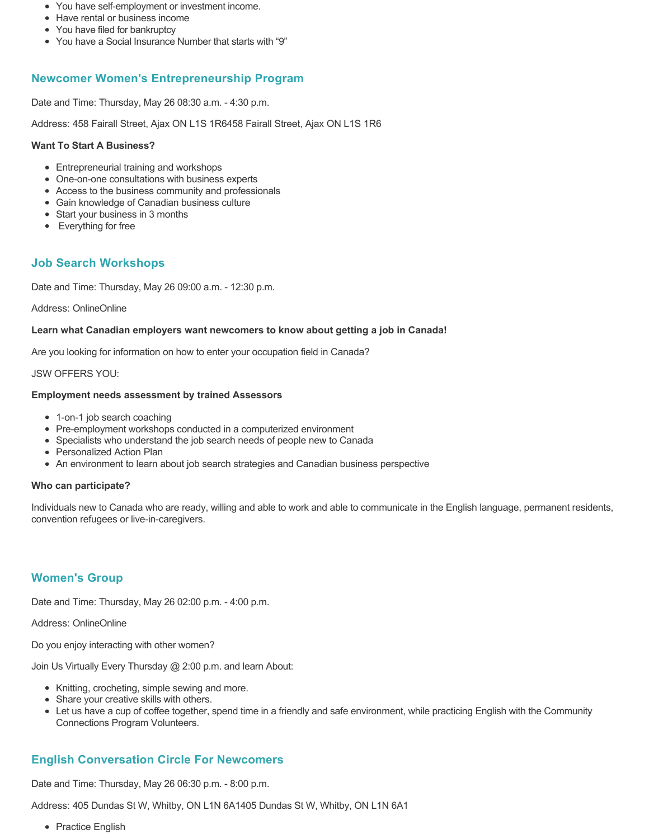- You have self-employment or investment income.
- Have rental or business income
- You have filed for bankruptcy
- You have a Social Insurance Number that starts with "9"

## **Newcomer Women's Entrepreneurship Program**

Date and Time: Thursday, May 26 08:30 a.m. - 4:30 p.m.

Address: 458 Fairall Street, Ajax ON L1S 1R6458 Fairall Street, Ajax ON L1S 1R6

#### **Want To Start A Business?**

- Entrepreneurial training and workshops
- One-on-one consultations with business experts
- Access to the business community and professionals
- Gain knowledge of Canadian business culture
- Start your business in 3 months
- Everything for free

## **Job Search Workshops**

Date and Time: Thursday, May 26 09:00 a.m. - 12:30 p.m.

Address: OnlineOnline

### **Learn what Canadian employers want newcomers to know about getting a job in Canada!**

Are you looking for information on how to enter your occupation field in Canada?

#### JSW OFFERS YOU:

#### **Employment needs assessment by trained Assessors**

- 1-on-1 job search coaching
- Pre-employment workshops conducted in a computerized environment
- Specialists who understand the job search needs of people new to Canada
- Personalized Action Plan
- An environment to learn about job search strategies and Canadian business perspective

#### **Who can participate?**

Individuals new to Canada who are ready, willing and able to work and able to communicate in the English language, permanent residents, convention refugees or live-in-caregivers.

## **Women's Group**

Date and Time: Thursday, May 26 02:00 p.m. - 4:00 p.m.

Address: OnlineOnline

Do you enjoy interacting with other women?

Join Us Virtually Every Thursday @ 2:00 p.m. and learn About:

- Knitting, crocheting, simple sewing and more.
- Share your creative skills with others.
- Let us have a cup of coffee together, spend time in a friendly and safe environment, while practicing English with the Community Connections Program Volunteers.

## **English Conversation Circle For Newcomers**

Date and Time: Thursday, May 26 06:30 p.m. - 8:00 p.m.

Address: 405 Dundas St W, Whitby, ON L1N 6A1405 Dundas St W, Whitby, ON L1N 6A1

• Practice English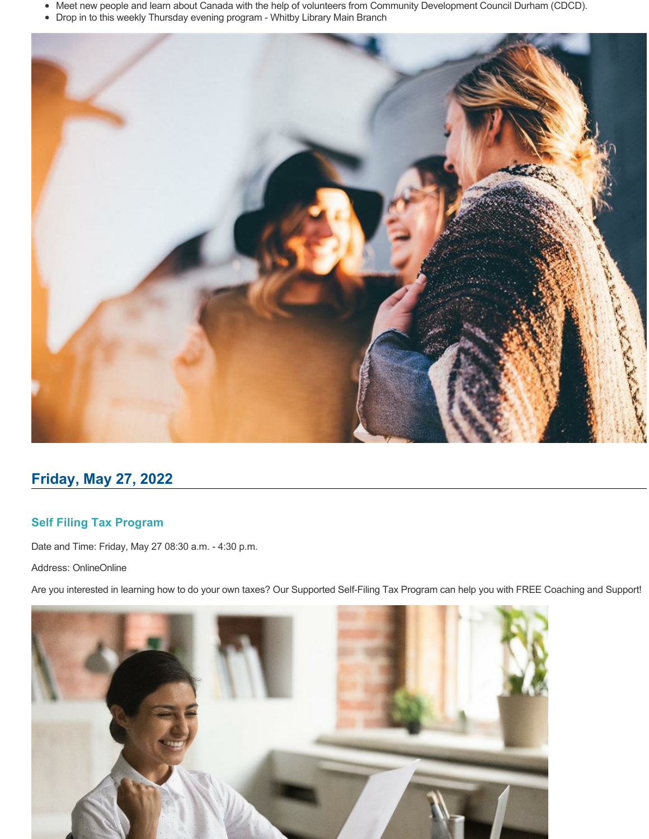- Meet new people and learn about Canada with the help of volunteers from Community Development Council Durham (CDCD).
- Drop in to this weekly Thursday evening program Whitby Library Main Branch



# **Friday, May 27, 2022**

## **Self Filing Tax Program**

Date and Time: Friday, May 27 08:30 a.m. - 4:30 p.m.

Address: OnlineOnline

Are you interested in learning how to do your own taxes? Our Supported Self-Filing Tax Program can help you with FREE Coaching and Support!

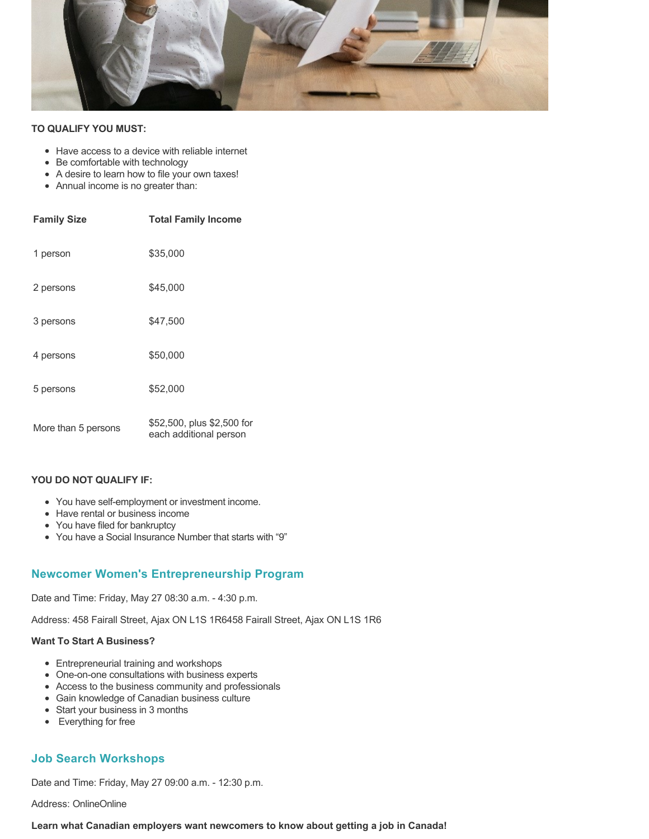

### **TO QUALIFY YOU MUST:**

- Have access to a device with reliable internet
- Be comfortable with technology
- A desire to learn how to file your own taxes!
- Annual income is no greater than:

| <b>Family Size</b>  | <b>Total Family Income</b>                           |
|---------------------|------------------------------------------------------|
| 1 person            | \$35,000                                             |
| 2 persons           | \$45,000                                             |
| 3 persons           | \$47,500                                             |
| 4 persons           | \$50,000                                             |
| 5 persons           | \$52,000                                             |
| More than 5 persons | \$52,500, plus \$2,500 for<br>each additional person |

#### **YOU DO NOT QUALIFY IF:**

- You have self-employment or investment income.
- Have rental or business income
- You have filed for bankruptcy
- You have a Social Insurance Number that starts with "9"

### **Newcomer Women's Entrepreneurship Program**

Date and Time: Friday, May 27 08:30 a.m. - 4:30 p.m.

Address: 458 Fairall Street, Ajax ON L1S 1R6458 Fairall Street, Ajax ON L1S 1R6

#### **Want To Start A Business?**

- Entrepreneurial training and workshops
- One-on-one consultations with business experts
- Access to the business community and professionals
- Gain knowledge of Canadian business culture
- Start your business in 3 months
- Everything for free

## **Job Search Workshops**

Date and Time: Friday, May 27 09:00 a.m. - 12:30 p.m.

Address: OnlineOnline

**Learn what Canadian employers want newcomers to know about getting a job in Canada!**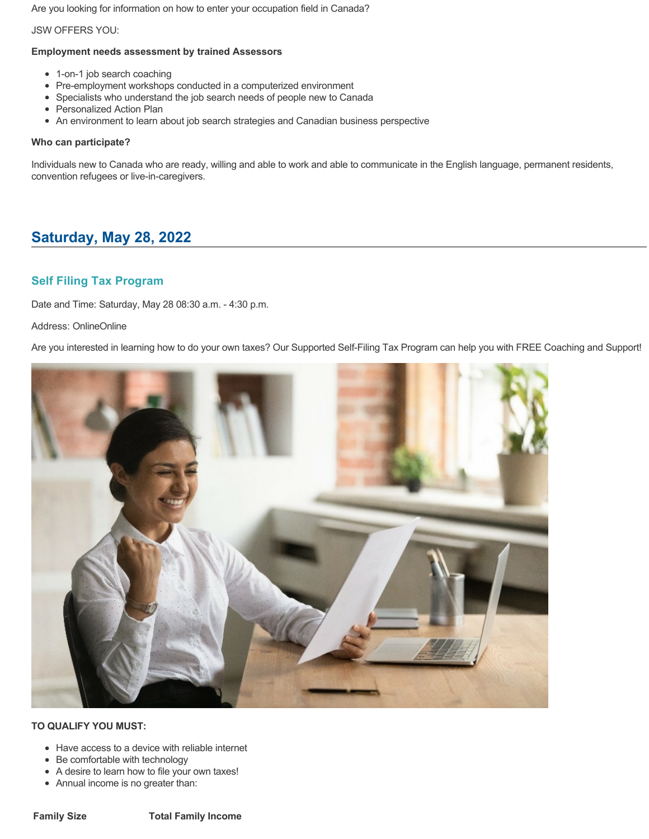Are you looking for information on how to enter your occupation field in Canada?

### JSW OFFERS YOU:

## **Employment needs assessment by trained Assessors**

- 1-on-1 job search coaching
- Pre-employment workshops conducted in a computerized environment
- Specialists who understand the job search needs of people new to Canada
- Personalized Action Plan
- An environment to learn about job search strategies and Canadian business perspective

## **Who can participate?**

Individuals new to Canada who are ready, willing and able to work and able to communicate in the English language, permanent residents, convention refugees or live-in-caregivers.

# **Saturday, May 28, 2022**

## **Self Filing Tax Program**

Date and Time: Saturday, May 28 08:30 a.m. - 4:30 p.m.

## Address: OnlineOnline

Are you interested in learning how to do your own taxes? Our Supported Self-Filing Tax Program can help you with FREE Coaching and Support!



- Have access to a device with reliable internet
- Be comfortable with technology
- A desire to learn how to file your own taxes!
- Annual income is no greater than: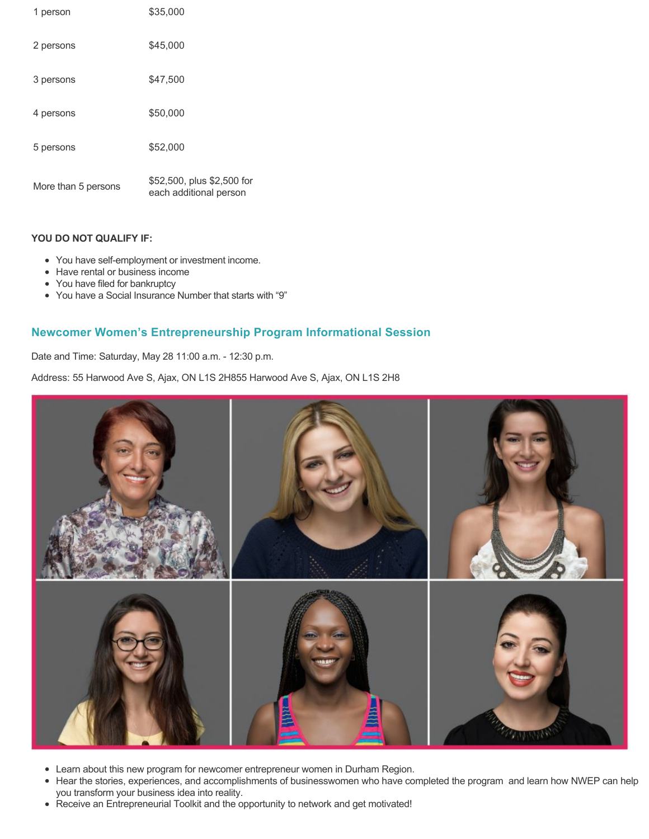| 1 person            | \$35,000                                             |
|---------------------|------------------------------------------------------|
| 2 persons           | \$45,000                                             |
| 3 persons           | \$47,500                                             |
| 4 persons           | \$50,000                                             |
| 5 persons           | \$52,000                                             |
| More than 5 persons | \$52,500, plus \$2,500 for<br>each additional person |

- You have self-employment or investment income.
- Have rental or business income
- You have filed for bankruptcy
- You have a Social Insurance Number that starts with "9"

## **Newcomer Women's Entrepreneurship Program Informational Session**

Date and Time: Saturday, May 28 11:00 a.m. - 12:30 p.m.

Address: 55 Harwood Ave S, Ajax, ON L1S 2H855 Harwood Ave S, Ajax, ON L1S 2H8



- Learn about this new program for newcomer entrepreneur women in Durham Region.
- Hear the stories, experiences, and accomplishments of businesswomen who have completed the program and learn how NWEP can help you transform your business idea into reality.
- Receive an Entrepreneurial Toolkit and the opportunity to network and get motivated!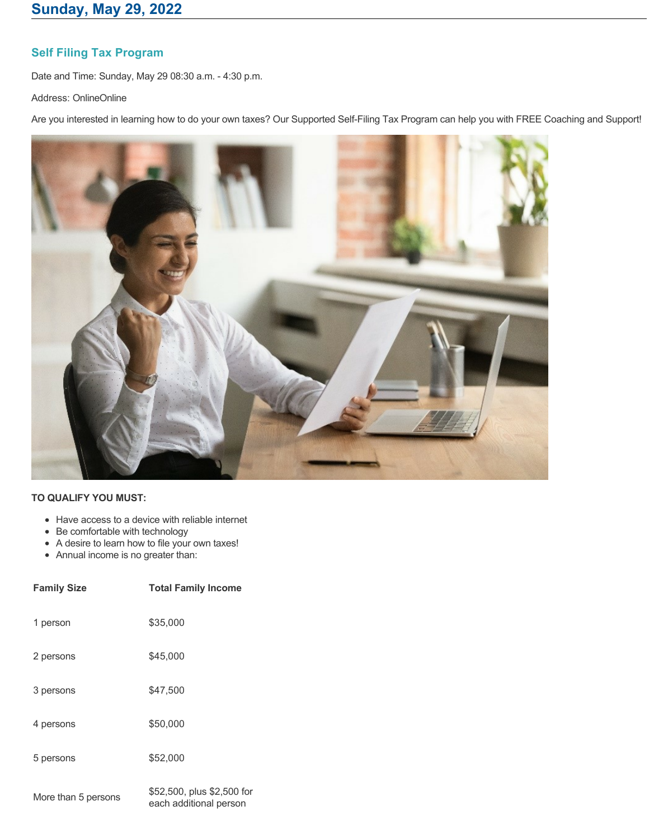## **Self Filing Tax Program**

Date and Time: Sunday, May 29 08:30 a.m. - 4:30 p.m.

Address: OnlineOnline

Are you interested in learning how to do your own taxes? Our Supported Self-Filing Tax Program can help you with FREE Coaching and Support!



- Have access to a device with reliable internet
- Be comfortable with technology
- A desire to learn how to file your own taxes!
- Annual income is no greater than:

| <b>Family Size</b> | <b>Total Family Income</b>                                                                                                                                                                                                                                                                                                                                                                                             |
|--------------------|------------------------------------------------------------------------------------------------------------------------------------------------------------------------------------------------------------------------------------------------------------------------------------------------------------------------------------------------------------------------------------------------------------------------|
| 1 person           | \$35,000                                                                                                                                                                                                                                                                                                                                                                                                               |
| 2 persons          | \$45,000                                                                                                                                                                                                                                                                                                                                                                                                               |
| 3 persons          | \$47,500                                                                                                                                                                                                                                                                                                                                                                                                               |
| 4 persons          | \$50,000                                                                                                                                                                                                                                                                                                                                                                                                               |
| 5 persons          | \$52,000                                                                                                                                                                                                                                                                                                                                                                                                               |
|                    | $\uparrow$ $\uparrow$ $\uparrow$ $\uparrow$ $\uparrow$ $\uparrow$ $\uparrow$ $\uparrow$ $\uparrow$ $\uparrow$ $\uparrow$ $\uparrow$ $\uparrow$ $\uparrow$ $\uparrow$ $\uparrow$ $\uparrow$ $\uparrow$ $\uparrow$ $\uparrow$ $\uparrow$ $\uparrow$ $\uparrow$ $\uparrow$ $\uparrow$ $\uparrow$ $\uparrow$ $\uparrow$ $\uparrow$ $\uparrow$ $\uparrow$ $\uparrow$ $\uparrow$ $\uparrow$ $\uparrow$ $\uparrow$ $\uparrow$ |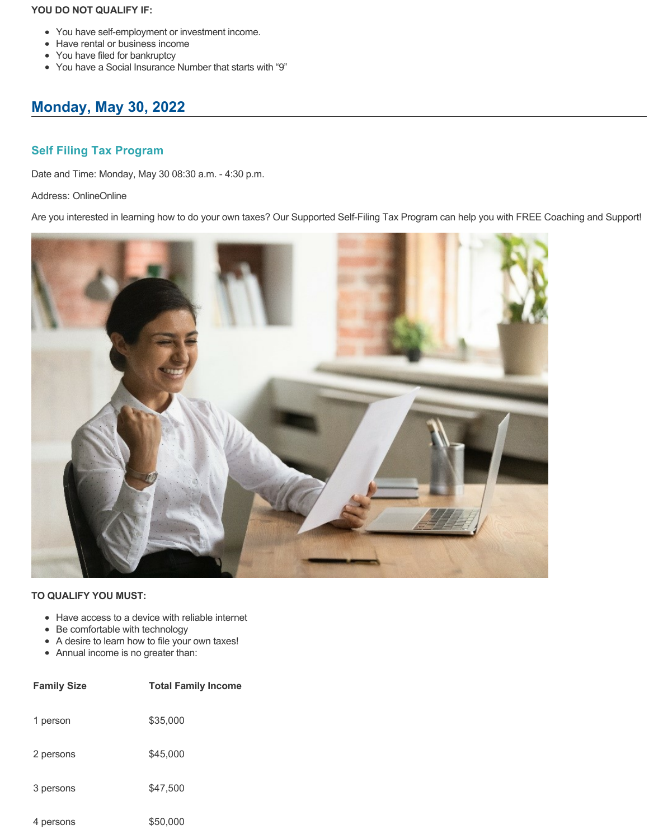- You have self-employment or investment income.
- Have rental or business income
- You have filed for bankruptcy
- You have a Social Insurance Number that starts with "9"

# **Monday, May 30, 2022**

## **Self Filing Tax Program**

Date and Time: Monday, May 30 08:30 a.m. - 4:30 p.m.

## Address: OnlineOnline

Are you interested in learning how to do your own taxes? Our Supported Self-Filing Tax Program can help you with FREE Coaching and Support!



- Have access to a device with reliable internet
- Be comfortable with technology
- A desire to learn how to file your own taxes!
- Annual income is no greater than:

| <b>Family Size</b> | <b>Total Family Income</b> |
|--------------------|----------------------------|
| 1 person           | \$35,000                   |
| 2 persons          | \$45,000                   |
| 3 persons          | \$47,500                   |
| 4 persons          | \$50,000                   |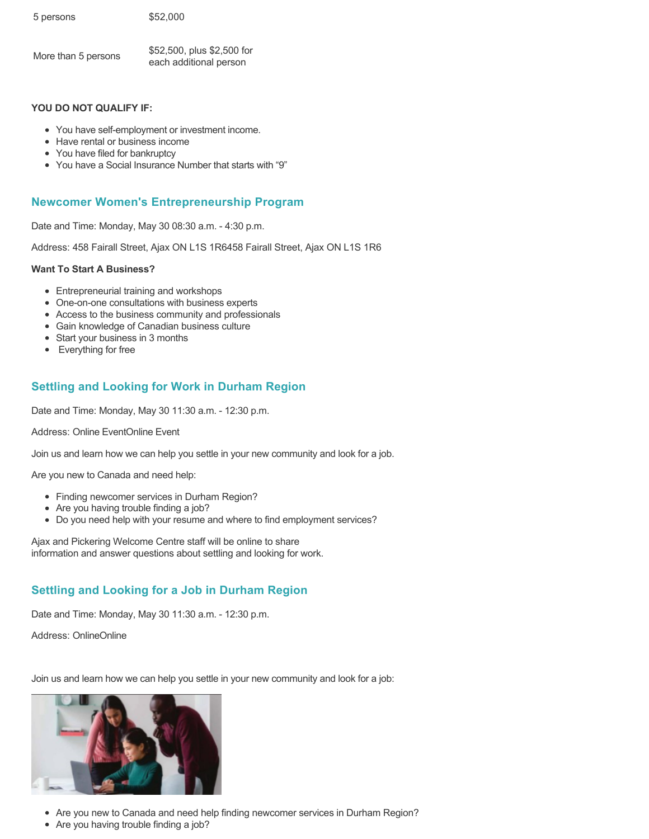| 5 persons | \$52,000 |
|-----------|----------|
|           |          |

| More than 5 persons | \$52,500, plus \$2,500 for |
|---------------------|----------------------------|
|                     | each additional person     |

- You have self-employment or investment income.
- Have rental or business income
- You have filed for bankruptcy
- You have a Social Insurance Number that starts with "9"

## **Newcomer Women's Entrepreneurship Program**

Date and Time: Monday, May 30 08:30 a.m. - 4:30 p.m.

Address: 458 Fairall Street, Ajax ON L1S 1R6458 Fairall Street, Ajax ON L1S 1R6

### **Want To Start A Business?**

- Entrepreneurial training and workshops
- One-on-one consultations with business experts
- Access to the business community and professionals
- Gain knowledge of Canadian business culture
- Start your business in 3 months
- Everything for free

## **Settling and Looking for Work in Durham Region**

Date and Time: Monday, May 30 11:30 a.m. - 12:30 p.m.

Address: Online EventOnline Event

Join us and learn how we can help you settle in your new community and look for a job.

Are you new to Canada and need help:

- Finding newcomer services in Durham Region?
- Are you having trouble finding a job?
- Do you need help with your resume and where to find employment services?

Ajax and Pickering Welcome Centre staff will be online to share information and answer questions about settling and looking for work.

## **Settling and Looking for a Job in Durham Region**

Date and Time: Monday, May 30 11:30 a.m. - 12:30 p.m.

Address: OnlineOnline

Join us and learn how we can help you settle in your new community and look for a job:



- Are you new to Canada and need help finding newcomer services in Durham Region?
- Are you having trouble finding a job?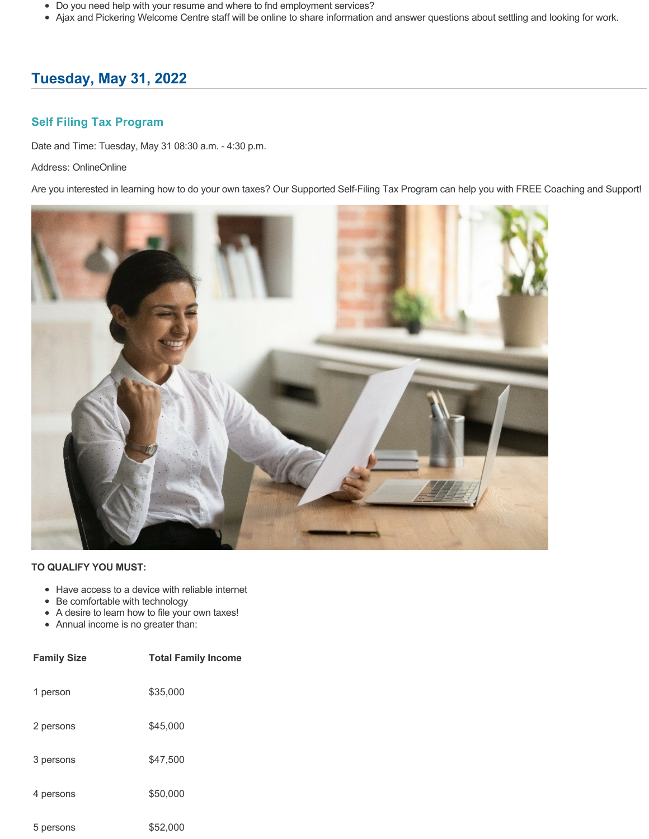- Do you need help with your resume and where to fnd employment services?
- Ajax and Pickering Welcome Centre staff will be online to share information and answer questions about settling and looking for work.

# **Tuesday, May 31, 2022**

## **Self Filing Tax Program**

Date and Time: Tuesday, May 31 08:30 a.m. - 4:30 p.m.

Address: OnlineOnline

Are you interested in learning how to do your own taxes? Our Supported Self-Filing Tax Program can help you with FREE Coaching and Support!



- Have access to a device with reliable internet
- Be comfortable with technology
- A desire to learn how to file your own taxes!
- Annual income is no greater than:

| <b>Family Size</b> | <b>Total Family Income</b> |
|--------------------|----------------------------|
| 1 person           | \$35,000                   |
| 2 persons          | \$45,000                   |
| 3 persons          | \$47.500                   |
| 4 persons          | \$50,000                   |
| 5 persons          | \$52,000                   |